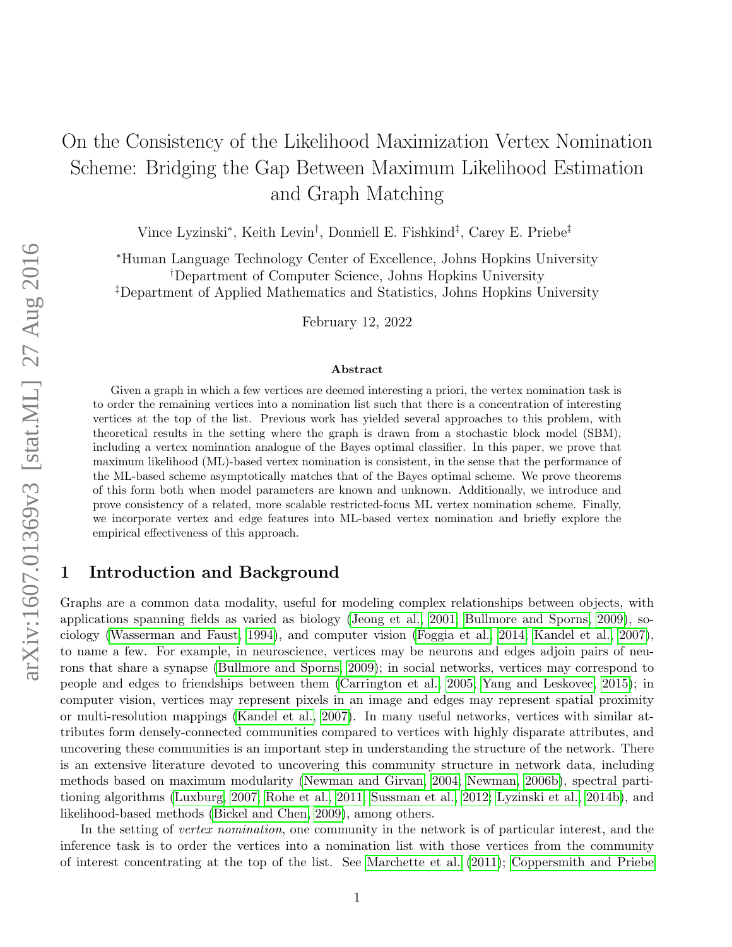# On the Consistency of the Likelihood Maximization Vertex Nomination Scheme: Bridging the Gap Between Maximum Likelihood Estimation and Graph Matching

Vince Lyzinski<sup>∗</sup> , Keith Levin† , Donniell E. Fishkind‡ , Carey E. Priebe‡

<sup>∗</sup>Human Language Technology Center of Excellence, Johns Hopkins University †Department of Computer Science, Johns Hopkins University ‡Department of Applied Mathematics and Statistics, Johns Hopkins University

February 12, 2022

#### Abstract

Given a graph in which a few vertices are deemed interesting a priori, the vertex nomination task is to order the remaining vertices into a nomination list such that there is a concentration of interesting vertices at the top of the list. Previous work has yielded several approaches to this problem, with theoretical results in the setting where the graph is drawn from a stochastic block model (SBM), including a vertex nomination analogue of the Bayes optimal classifier. In this paper, we prove that maximum likelihood (ML)-based vertex nomination is consistent, in the sense that the performance of the ML-based scheme asymptotically matches that of the Bayes optimal scheme. We prove theorems of this form both when model parameters are known and unknown. Additionally, we introduce and prove consistency of a related, more scalable restricted-focus ML vertex nomination scheme. Finally, we incorporate vertex and edge features into ML-based vertex nomination and briefly explore the empirical effectiveness of this approach.

## 1 Introduction and Background

Graphs are a common data modality, useful for modeling complex relationships between objects, with applications spanning fields as varied as biology [\(Jeong et al., 2001;](#page-27-0) [Bullmore and Sporns, 2009\)](#page-27-1), sociology [\(Wasserman and Faust, 1994\)](#page-29-0), and computer vision [\(Foggia et al., 2014;](#page-27-2) [Kandel et al., 2007\)](#page-27-3), to name a few. For example, in neuroscience, vertices may be neurons and edges adjoin pairs of neurons that share a synapse [\(Bullmore and Sporns, 2009\)](#page-27-1); in social networks, vertices may correspond to people and edges to friendships between them [\(Carrington et al., 2005;](#page-27-4) [Yang and Leskovec, 2015\)](#page-29-1); in computer vision, vertices may represent pixels in an image and edges may represent spatial proximity or multi-resolution mappings [\(Kandel et al., 2007\)](#page-27-3). In many useful networks, vertices with similar attributes form densely-connected communities compared to vertices with highly disparate attributes, and uncovering these communities is an important step in understanding the structure of the network. There is an extensive literature devoted to uncovering this community structure in network data, including methods based on maximum modularity [\(Newman and Girvan, 2004;](#page-28-0) [Newman, 2006b\)](#page-28-1), spectral partitioning algorithms [\(Luxburg, 2007;](#page-28-2) [Rohe et al., 2011;](#page-28-3) [Sussman et al., 2012;](#page-28-4) [Lyzinski et al., 2014b\)](#page-28-5), and likelihood-based methods [\(Bickel and Chen, 2009\)](#page-27-5), among others.

In the setting of *vertex nomination*, one community in the network is of particular interest, and the inference task is to order the vertices into a nomination list with those vertices from the community of interest concentrating at the top of the list. See [Marchette et al.](#page-28-6) [\(2011\)](#page-28-6); [Coppersmith and Priebe](#page-27-6)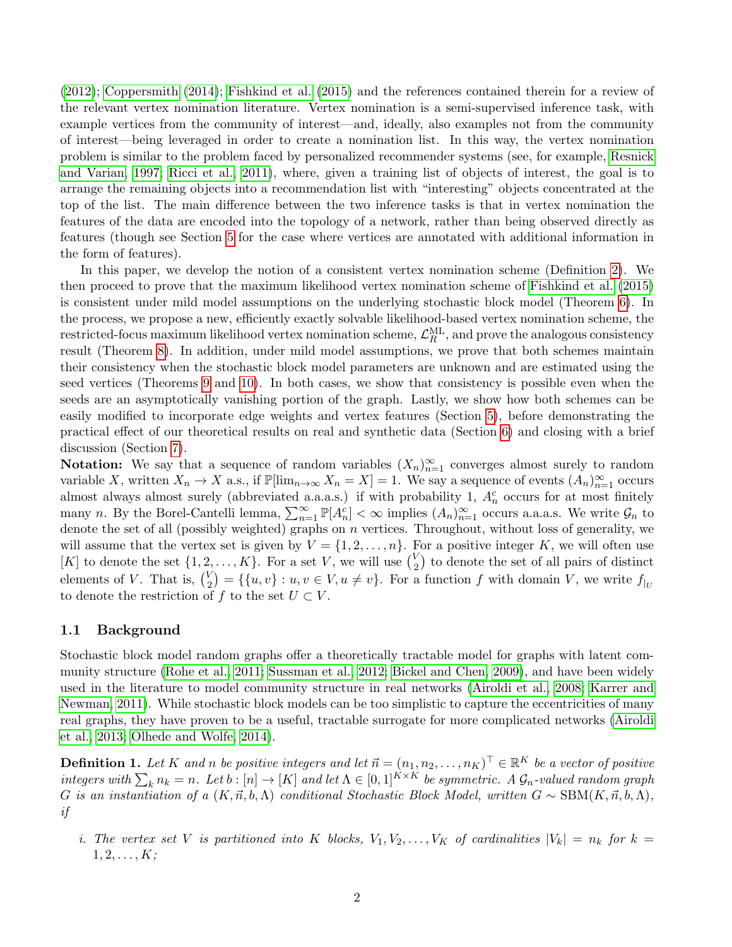[\(2012\)](#page-27-6); [Coppersmith](#page-27-7) [\(2014\)](#page-27-7); [Fishkind et al.](#page-27-8) [\(2015\)](#page-27-8) and the references contained therein for a review of the relevant vertex nomination literature. Vertex nomination is a semi-supervised inference task, with example vertices from the community of interest—and, ideally, also examples not from the community of interest—being leveraged in order to create a nomination list. In this way, the vertex nomination problem is similar to the problem faced by personalized recommender systems (see, for example, [Resnick](#page-28-7) [and Varian, 1997;](#page-28-7) [Ricci et al., 2011\)](#page-28-8), where, given a training list of objects of interest, the goal is to arrange the remaining objects into a recommendation list with "interesting" objects concentrated at the top of the list. The main difference between the two inference tasks is that in vertex nomination the features of the data are encoded into the topology of a network, rather than being observed directly as features (though see Section [5](#page-10-0) for the case where vertices are annotated with additional information in the form of features).

In this paper, we develop the notion of a consistent vertex nomination scheme (Definition [2\)](#page-2-0). We then proceed to prove that the maximum likelihood vertex nomination scheme of [Fishkind et al.](#page-27-8) [\(2015\)](#page-27-8) is consistent under mild model assumptions on the underlying stochastic block model (Theorem [6\)](#page-9-0). In the process, we propose a new, efficiently exactly solvable likelihood-based vertex nomination scheme, the  $\rm restricted\text{-}focus\ maximum\ likelihood\ vertex\ nomination\ scheme, \ \mathcal{L}_R^{\rm ML},\ \rm and\ prove\ the\ analogous\ consistency$ result (Theorem [8\)](#page-9-1). In addition, under mild model assumptions, we prove that both schemes maintain their consistency when the stochastic block model parameters are unknown and are estimated using the seed vertices (Theorems [9](#page-9-2) and [10\)](#page-10-1). In both cases, we show that consistency is possible even when the seeds are an asymptotically vanishing portion of the graph. Lastly, we show how both schemes can be easily modified to incorporate edge weights and vertex features (Section [5\)](#page-10-0), before demonstrating the practical effect of our theoretical results on real and synthetic data (Section [6\)](#page-13-0) and closing with a brief discussion (Section [7\)](#page-21-0).

Notation: We say that a sequence of random variables  $(X_n)_{n=1}^{\infty}$  converges almost surely to random variable X, written  $X_n \to X$  a.s., if  $\mathbb{P}[\lim_{n\to\infty} X_n = X] = 1$ . We say a sequence of events  $(A_n)_{n=1}^{\infty}$  occurs almost always almost surely (abbreviated a.a.a.s.) if with probability 1,  $A_n^c$  occurs for at most finitely many n. By the Borel-Cantelli lemma,  $\sum_{n=1}^{\infty} \mathbb{P}[A_n^c] < \infty$  implies  $(A_n)_{n=1}^{\infty}$  occurs a.a.a.s. We write  $\mathcal{G}_n$  to denote the set of all (possibly weighted) graphs on n vertices. Throughout, without loss of generality, we will assume that the vertex set is given by  $V = \{1, 2, ..., n\}$ . For a positive integer K, we will often use [K] to denote the set  $\{1, 2, ..., K\}$ . For a set V, we will use  $\binom{V}{2}$  $\binom{V}{2}$  to denote the set of all pairs of distinct elements of V. That is,  $\binom{V}{2}$  $\mathcal{L}_2^V$  = { $\{u, v\} : u, v \in V, u \neq v\}$ . For a function f with domain V, we write  $f_{|U}$ to denote the restriction of f to the set  $U \subset V$ .

#### 1.1 Background

Stochastic block model random graphs offer a theoretically tractable model for graphs with latent community structure [\(Rohe et al., 2011;](#page-28-3) [Sussman et al., 2012;](#page-28-4) [Bickel and Chen, 2009\)](#page-27-5), and have been widely used in the literature to model community structure in real networks [\(Airoldi et al., 2008;](#page-27-9) [Karrer and](#page-27-10) [Newman, 2011\)](#page-27-10). While stochastic block models can be too simplistic to capture the eccentricities of many real graphs, they have proven to be a useful, tractable surrogate for more complicated networks [\(Airoldi](#page-27-11) [et al., 2013;](#page-27-11) [Olhede and Wolfe, 2014\)](#page-28-9).

<span id="page-1-0"></span>**Definition 1.** Let K and n be positive integers and let  $\vec{n} = (n_1, n_2, \ldots, n_K)^\top \in \mathbb{R}^K$  be a vector of positive integers with  $\sum_{k} n_k = n$ . Let  $b : [n] \to [K]$  and let  $\Lambda \in [0,1]^{K \times K}$  be symmetric. A  $\mathcal{G}_n$ -valued random graph G is an instantiation of a  $(K, \vec{n}, b, \Lambda)$  conditional Stochastic Block Model, written  $G \sim \text{SBM}(K, \vec{n}, b, \Lambda)$ , if

i. The vertex set V is partitioned into K blocks,  $V_1, V_2, \ldots, V_K$  of cardinalities  $|V_k| = n_k$  for  $k =$  $1, 2, \ldots, K;$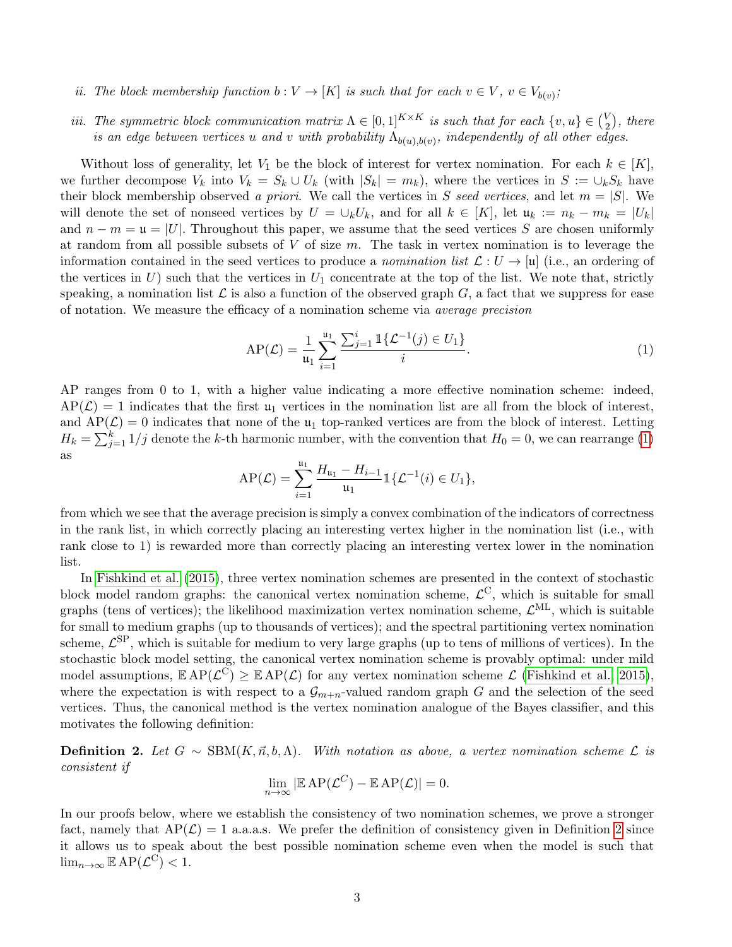- ii. The block membership function  $b: V \to [K]$  is such that for each  $v \in V$ ,  $v \in V_{b(v)}$ ;
- iii. The symmetric block communication matrix  $\Lambda \in [0,1]^{K \times K}$  is such that for each  $\{v, u\} \in \binom{V}{2}$  $_2^V$ ), there is an edge between vertices u and v with probability  $\Lambda_{b(u),b(v)}$ , independently of all other edges.

Without loss of generality, let  $V_1$  be the block of interest for vertex nomination. For each  $k \in [K]$ , we further decompose  $V_k$  into  $V_k = S_k \cup U_k$  (with  $|S_k| = m_k$ ), where the vertices in  $S := \cup_k S_k$  have their block membership observed a priori. We call the vertices in S seed vertices, and let  $m = |S|$ . We will denote the set of nonseed vertices by  $U = \bigcup_k U_k$ , and for all  $k \in [K]$ , let  $\mathfrak{u}_k := n_k - m_k = |U_k|$ and  $n - m = \mathfrak{u} = |U|$ . Throughout this paper, we assume that the seed vertices S are chosen uniformly at random from all possible subsets of  $V$  of size  $m$ . The task in vertex nomination is to leverage the information contained in the seed vertices to produce a nomination list  $\mathcal{L}: U \to [\mathfrak{u}]$  (i.e., an ordering of the vertices in  $U$ ) such that the vertices in  $U_1$  concentrate at the top of the list. We note that, strictly speaking, a nomination list  $\mathcal L$  is also a function of the observed graph  $G$ , a fact that we suppress for ease of notation. We measure the efficacy of a nomination scheme via average precision

<span id="page-2-1"></span>AP(
$$
\mathcal{L}
$$
) =  $\frac{1}{\mathfrak{u}_1} \sum_{i=1}^{\mathfrak{u}_1} \frac{\sum_{j=1}^{i} \mathbb{1} \{ \mathcal{L}^{-1}(j) \in U_1 \}}{i}.$  (1)

AP ranges from 0 to 1, with a higher value indicating a more effective nomination scheme: indeed,  $AP(\mathcal{L}) = 1$  indicates that the first  $u_1$  vertices in the nomination list are all from the block of interest, and  $AP(\mathcal{L}) = 0$  indicates that none of the  $\mathfrak{u}_1$  top-ranked vertices are from the block of interest. Letting  $H_k = \sum_{j=1}^{k} 1/j$  denote the k-th harmonic number, with the convention that  $H_0 = 0$ , we can rearrange [\(1\)](#page-2-1) as

$$
AP(\mathcal{L}) = \sum_{i=1}^{\mathfrak{u}_1} \frac{H_{\mathfrak{u}_1} - H_{i-1}}{\mathfrak{u}_1} \mathbb{1}\{\mathcal{L}^{-1}(i) \in U_1\},
$$

from which we see that the average precision is simply a convex combination of the indicators of correctness in the rank list, in which correctly placing an interesting vertex higher in the nomination list (i.e., with rank close to 1) is rewarded more than correctly placing an interesting vertex lower in the nomination list.

In [Fishkind et al.](#page-27-8) [\(2015\)](#page-27-8), three vertex nomination schemes are presented in the context of stochastic block model random graphs: the canonical vertex nomination scheme,  $\mathcal{L}^C$ , which is suitable for small graphs (tens of vertices); the likelihood maximization vertex nomination scheme,  $\mathcal{L}^{\text{ML}}$ , which is suitable for small to medium graphs (up to thousands of vertices); and the spectral partitioning vertex nomination scheme,  $\mathcal{L}^{\text{SP}}$ , which is suitable for medium to very large graphs (up to tens of millions of vertices). In the stochastic block model setting, the canonical vertex nomination scheme is provably optimal: under mild model assumptions,  $\mathbb{E} AP(\mathcal{L}^C) \geq \mathbb{E} AP(\mathcal{L})$  for any vertex nomination scheme  $\mathcal{L}$  [\(Fishkind et al., 2015\)](#page-27-8), where the expectation is with respect to a  $\mathcal{G}_{m+n}$ -valued random graph G and the selection of the seed vertices. Thus, the canonical method is the vertex nomination analogue of the Bayes classifier, and this motivates the following definition:

<span id="page-2-0"></span>**Definition 2.** Let  $G \sim \text{SBM}(K, \vec{n}, b, \Lambda)$ . With notation as above, a vertex nomination scheme  $\mathcal{L}$  is consistent if

$$
\lim_{n \to \infty} |\mathbb{E} AP(\mathcal{L}^C) - \mathbb{E} AP(\mathcal{L})| = 0.
$$

In our proofs below, where we establish the consistency of two nomination schemes, we prove a stronger fact, namely that  $AP(\mathcal{L}) = 1$  a.a.a.s. We prefer the definition of consistency given in Definition [2](#page-2-0) since it allows us to speak about the best possible nomination scheme even when the model is such that  $\lim_{n\to\infty} \mathbb{E} AP(\mathcal{L}^C) < 1.$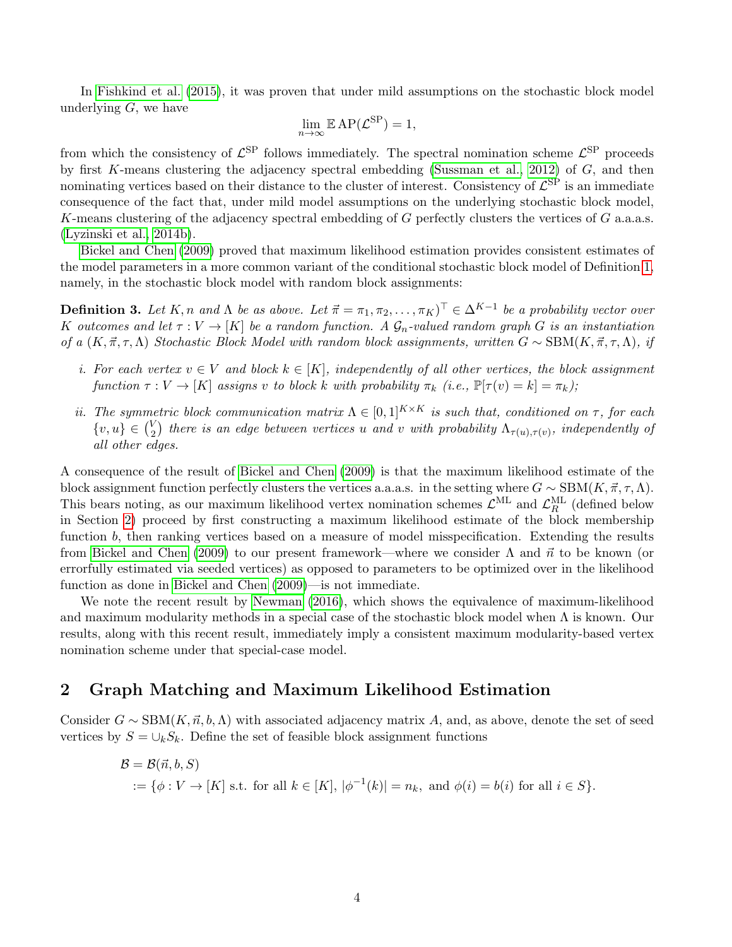In [Fishkind et al.](#page-27-8) [\(2015\)](#page-27-8), it was proven that under mild assumptions on the stochastic block model underlying  $G$ , we have

$$
\lim_{n \to \infty} \mathbb{E} AP(\mathcal{L}^{\text{SP}}) = 1,
$$

from which the consistency of  $\mathcal{L}^{\text{SP}}$  follows immediately. The spectral nomination scheme  $\mathcal{L}^{\text{SP}}$  proceeds by first K-means clustering the adjacency spectral embedding [\(Sussman et al., 2012\)](#page-28-4) of  $G$ , and then nominating vertices based on their distance to the cluster of interest. Consistency of  $\mathcal{L}^{\rm SP}$  is an immediate consequence of the fact that, under mild model assumptions on the underlying stochastic block model, K-means clustering of the adjacency spectral embedding of G perfectly clusters the vertices of G a.a.s.s. [\(Lyzinski et al., 2014b\)](#page-28-5).

[Bickel and Chen](#page-27-5) [\(2009\)](#page-27-5) proved that maximum likelihood estimation provides consistent estimates of the model parameters in a more common variant of the conditional stochastic block model of Definition [1,](#page-1-0) namely, in the stochastic block model with random block assignments:

**Definition 3.** Let K, n and  $\Lambda$  be as above. Let  $\vec{\pi} = \pi_1, \pi_2, \ldots, \pi_K$   $\in \Delta^{K-1}$  be a probability vector over K outcomes and let  $\tau : V \to [K]$  be a random function. A  $\mathcal{G}_n$ -valued random graph G is an instantiation of a  $(K, \vec{\pi}, \tau, \Lambda)$  Stochastic Block Model with random block assignments, written  $G \sim \text{SBM}(K, \vec{\pi}, \tau, \Lambda)$ , if

- i. For each vertex  $v \in V$  and block  $k \in [K]$ , independently of all other vertices, the block assignment function  $\tau : V \to [K]$  assigns v to block k with probability  $\pi_k$  (i.e.,  $\mathbb{P}[\tau(v) = k] = \pi_k$ );
- ii. The symmetric block communication matrix  $\Lambda \in [0,1]^{K \times K}$  is such that, conditioned on  $\tau$ , for each  $\{v, u\} \in \binom{V}{2}$  $\mathcal{L}_2^V$ ) there is an edge between vertices u and v with probability  $\Lambda_{\tau(u),\tau(v)},$  independently of all other edges.

A consequence of the result of [Bickel and Chen](#page-27-5) [\(2009\)](#page-27-5) is that the maximum likelihood estimate of the block assignment function perfectly clusters the vertices a.a.a.s. in the setting where  $G \sim \text{SBM}(K, \vec{\pi}, \tau, \Lambda)$ . This bears noting, as our maximum likelihood vertex nomination schemes  $\mathcal{L}^{\text{ML}}$  and  $\mathcal{L}^{\text{ML}}_R$  (defined below in Section [2\)](#page-3-0) proceed by first constructing a maximum likelihood estimate of the block membership function b, then ranking vertices based on a measure of model misspecification. Extending the results from [Bickel and Chen](#page-27-5) [\(2009\)](#page-27-5) to our present framework—where we consider  $\Lambda$  and  $\vec{n}$  to be known (or errorfully estimated via seeded vertices) as opposed to parameters to be optimized over in the likelihood function as done in [Bickel and Chen](#page-27-5) [\(2009\)](#page-27-5)—is not immediate.

We note the recent result by [Newman](#page-28-10) [\(2016\)](#page-28-10), which shows the equivalence of maximum-likelihood and maximum modularity methods in a special case of the stochastic block model when  $\Lambda$  is known. Our results, along with this recent result, immediately imply a consistent maximum modularity-based vertex nomination scheme under that special-case model.

## <span id="page-3-0"></span>2 Graph Matching and Maximum Likelihood Estimation

Consider  $G \sim \text{SBM}(K, \vec{n}, b, \Lambda)$  with associated adjacency matrix A, and, as above, denote the set of seed vertices by  $S = \bigcup_k S_k$ . Define the set of feasible block assignment functions

$$
\mathcal{B} = \mathcal{B}(\vec{n}, b, S)
$$
  
 := { $\phi: V \to [K]$  s.t. for all  $k \in [K]$ ,  $|\phi^{-1}(k)| = n_k$ , and  $\phi(i) = b(i)$  for all  $i \in S$  }.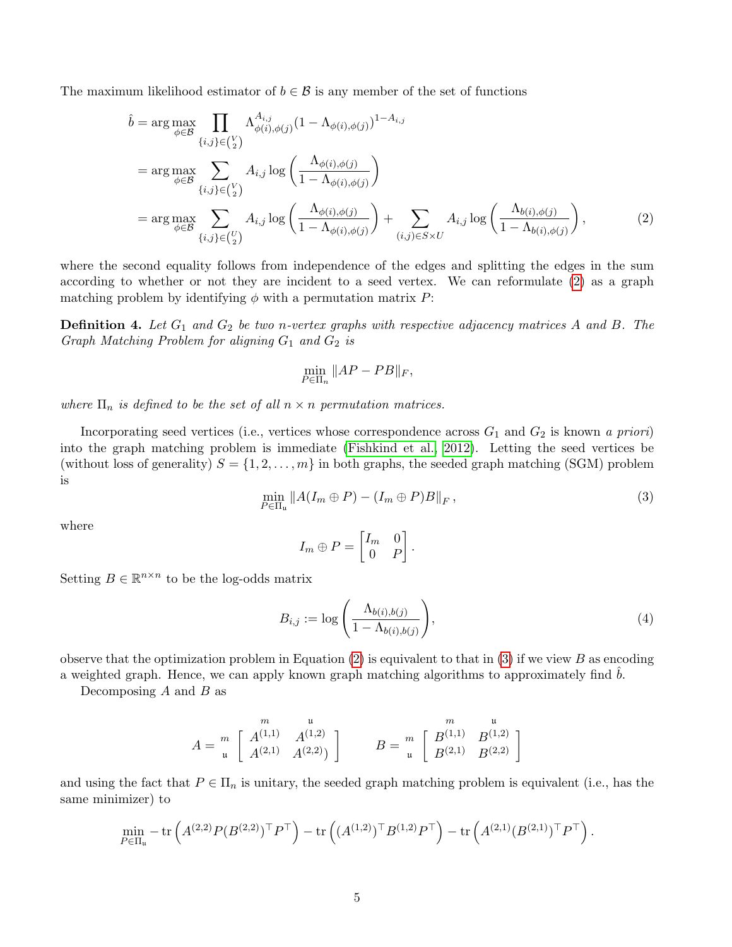The maximum likelihood estimator of  $b \in \mathcal{B}$  is any member of the set of functions

$$
\hat{b} = \arg \max_{\phi \in \mathcal{B}} \prod_{\{i,j\} \in \binom{V}{2}} \Lambda_{\phi(i),\phi(j)}^{A_{i,j}} (1 - \Lambda_{\phi(i),\phi(j)})^{1 - A_{i,j}} \n= \arg \max_{\phi \in \mathcal{B}} \sum_{\{i,j\} \in \binom{V}{2}} A_{i,j} \log \left( \frac{\Lambda_{\phi(i),\phi(j)}}{1 - \Lambda_{\phi(i),\phi(j)}} \right) \n= \arg \max_{\phi \in \mathcal{B}} \sum_{\{i,j\} \in \binom{V}{2}} A_{i,j} \log \left( \frac{\Lambda_{\phi(i),\phi(j)}}{1 - \Lambda_{\phi(i),\phi(j)}} \right) + \sum_{(i,j) \in S \times U} A_{i,j} \log \left( \frac{\Lambda_{b(i),\phi(j)}}{1 - \Lambda_{b(i),\phi(j)}} \right),
$$
\n(2)

where the second equality follows from independence of the edges and splitting the edges in the sum according to whether or not they are incident to a seed vertex. We can reformulate [\(2\)](#page-4-0) as a graph matching problem by identifying  $\phi$  with a permutation matrix P:

**Definition 4.** Let  $G_1$  and  $G_2$  be two n-vertex graphs with respective adjacency matrices A and B. The Graph Matching Problem for aligning  $G_1$  and  $G_2$  is

<span id="page-4-0"></span>
$$
\min_{P \in \Pi_n} \|AP - PB\|_F,
$$

where  $\Pi_n$  is defined to be the set of all  $n \times n$  permutation matrices.

Incorporating seed vertices (i.e., vertices whose correspondence across  $G_1$  and  $G_2$  is known a priori) into the graph matching problem is immediate [\(Fishkind et al., 2012\)](#page-27-12). Letting the seed vertices be (without loss of generality)  $S = \{1, 2, ..., m\}$  in both graphs, the seeded graph matching (SGM) problem is

<span id="page-4-1"></span>
$$
\min_{P \in \Pi_{\mathfrak{u}}} \|A(I_m \oplus P) - (I_m \oplus P)B\|_F, \tag{3}
$$

where

$$
I_m \oplus P = \begin{bmatrix} I_m & 0 \\ 0 & P \end{bmatrix}.
$$

Setting  $B \in \mathbb{R}^{n \times n}$  to be the log-odds matrix

<span id="page-4-2"></span>
$$
B_{i,j} := \log\left(\frac{\Lambda_{b(i),b(j)}}{1 - \Lambda_{b(i),b(j)}}\right),\tag{4}
$$

observe that the optimization problem in Equation [\(2\)](#page-4-0) is equivalent to that in [\(3\)](#page-4-1) if we view B as encoding a weighted graph. Hence, we can apply known graph matching algorithms to approximately find  $b$ .

Decomposing  $A$  and  $B$  as

$$
A = \begin{bmatrix} m & u \\ u & A^{(1,1)} & A^{(1,2)} \\ u & A^{(2,1)} & A^{(2,2)} \end{bmatrix} \qquad B = \begin{bmatrix} m & u \\ u & B^{(1,1)} & B^{(1,2)} \\ u & B^{(2,1)} & B^{(2,2)} \end{bmatrix}
$$

and using the fact that  $P \in \Pi_n$  is unitary, the seeded graph matching problem is equivalent (i.e., has the same minimizer) to

$$
\min_{P \in \Pi_u} -\text{tr}\left(A^{(2,2)}P(B^{(2,2)})^\top P^\top\right) - \text{tr}\left((A^{(1,2)})^\top B^{(1,2)} P^\top\right) - \text{tr}\left(A^{(2,1)} (B^{(2,1)})^\top P^\top\right).
$$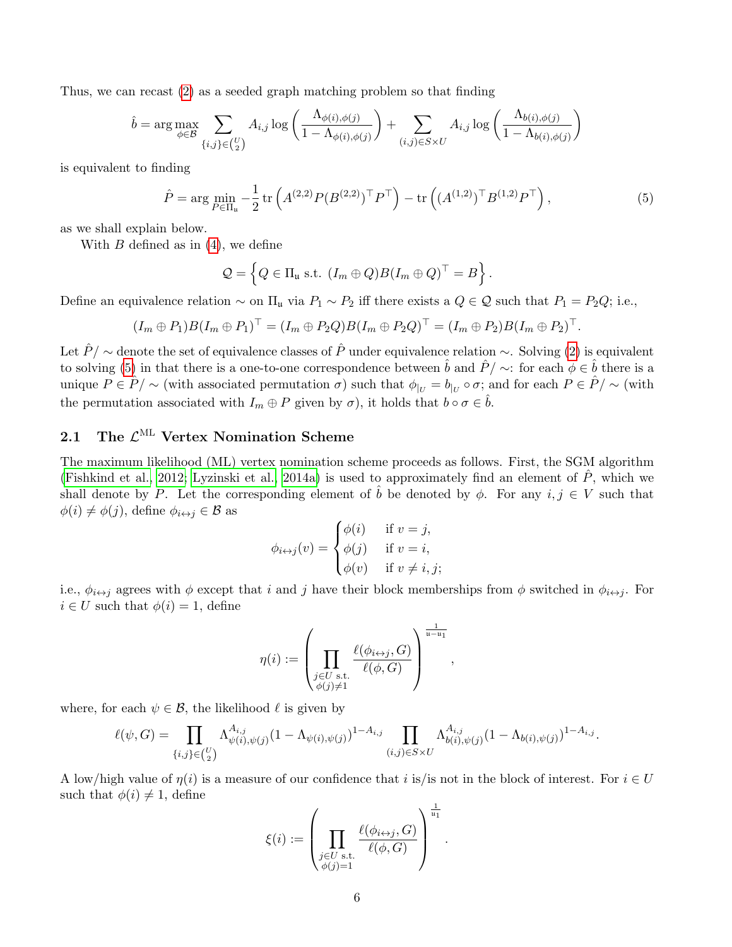Thus, we can recast [\(2\)](#page-4-0) as a seeded graph matching problem so that finding

$$
\hat{b} = \arg \max_{\phi \in \mathcal{B}} \sum_{\{i,j\} \in \binom{U}{2}} A_{i,j} \log \left( \frac{\Lambda_{\phi(i),\phi(j)}}{1 - \Lambda_{\phi(i),\phi(j)}} \right) + \sum_{(i,j) \in S \times U} A_{i,j} \log \left( \frac{\Lambda_{b(i),\phi(j)}}{1 - \Lambda_{b(i),\phi(j)}} \right)
$$

is equivalent to finding

$$
\hat{P} = \arg\min_{P \in \Pi_u} -\frac{1}{2} \operatorname{tr} \left( A^{(2,2)} P (B^{(2,2)})^\top P^\top \right) - \operatorname{tr} \left( (A^{(1,2)})^\top B^{(1,2)} P^\top \right),\tag{5}
$$

as we shall explain below.

With  $B$  defined as in  $(4)$ , we define

<span id="page-5-0"></span>
$$
Q = \left\{ Q \in \Pi_{\mathfrak{u}} \text{ s.t. } (I_m \oplus Q) B (I_m \oplus Q)^\top = B \right\}.
$$

Define an equivalence relation  $\sim$  on  $\Pi_u$  via  $P_1 \sim P_2$  iff there exists a  $Q \in \mathcal{Q}$  such that  $P_1 = P_2Q$ ; i.e.,

$$
(I_m \oplus P_1)B(I_m \oplus P_1)^\top = (I_m \oplus P_2Q)B(I_m \oplus P_2Q)^\top = (I_m \oplus P_2)B(I_m \oplus P_2)^\top.
$$

Let  $\hat{P}$  / ∼ denote the set of equivalence classes of  $\hat{P}$  under equivalence relation ∼. Solving [\(2\)](#page-4-0) is equivalent to solving [\(5\)](#page-5-0) in that there is a one-to-one correspondence between  $\hat{b}$  and  $\hat{P}/\sim$ : for each  $\phi \in \hat{b}$  there is a unique  $P \in \hat{P}/\sim$  (with associated permutation  $\sigma$ ) such that  $\phi_{|U} = b_{|U} \circ \sigma$ ; and for each  $P \in \hat{P}/\sim$  (with the permutation associated with  $I_m \oplus P$  given by  $\sigma$ ), it holds that  $b \circ \sigma \in \hat{b}$ .

## 2.1 The  $\mathcal{L}^{\text{ML}}$  Vertex Nomination Scheme

The maximum likelihood (ML) vertex nomination scheme proceeds as follows. First, the SGM algorithm [\(Fishkind et al., 2012;](#page-27-12) [Lyzinski et al., 2014a\)](#page-28-11) is used to approximately find an element of  $P$ , which we shall denote by P. Let the corresponding element of  $\hat{b}$  be denoted by  $\phi$ . For any  $i, j \in V$  such that  $\phi(i) \neq \phi(j)$ , define  $\phi_{i \leftrightarrow j} \in \mathcal{B}$  as

$$
\phi_{i \leftrightarrow j}(v) = \begin{cases} \phi(i) & \text{if } v = j, \\ \phi(j) & \text{if } v = i, \\ \phi(v) & \text{if } v \neq i, j; \end{cases}
$$

i.e.,  $\phi_{i\leftrightarrow j}$  agrees with  $\phi$  except that i and j have their block memberships from  $\phi$  switched in  $\phi_{i\leftrightarrow j}$ . For  $i \in U$  such that  $\phi(i) = 1$ , define

$$
\eta(i) := \left(\prod_{\substack{j \in U \text{ s.t. } \\ \phi(j) \neq 1}} \frac{\ell(\phi_{i \leftrightarrow j}, G)}{\ell(\phi, G)}\right)^{\frac{1}{\mathfrak{u} - \mathfrak{u}_1}}
$$

,

.

where, for each  $\psi \in \mathcal{B}$ , the likelihood  $\ell$  is given by

$$
\ell(\psi, G) = \prod_{\{i,j\} \in \binom{U}{2}} \Lambda_{\psi(i), \psi(j)}^{A_{i,j}} (1 - \Lambda_{\psi(i), \psi(j)})^{1 - A_{i,j}} \prod_{(i,j) \in S \times U} \Lambda_{b(i), \psi(j)}^{A_{i,j}} (1 - \Lambda_{b(i), \psi(j)})^{1 - A_{i,j}}.
$$

A low/high value of  $\eta(i)$  is a measure of our confidence that i is/is not in the block of interest. For  $i \in U$ such that  $\phi(i) \neq 1$ , define

$$
\xi(i) := \left(\prod_{\substack{j \in U \text{ s.t.} \\ \phi(j)=1}} \frac{\ell(\phi_{i \leftrightarrow j}, G)}{\ell(\phi, G)}\right)^{\frac{1}{\mathfrak{u}_1}}
$$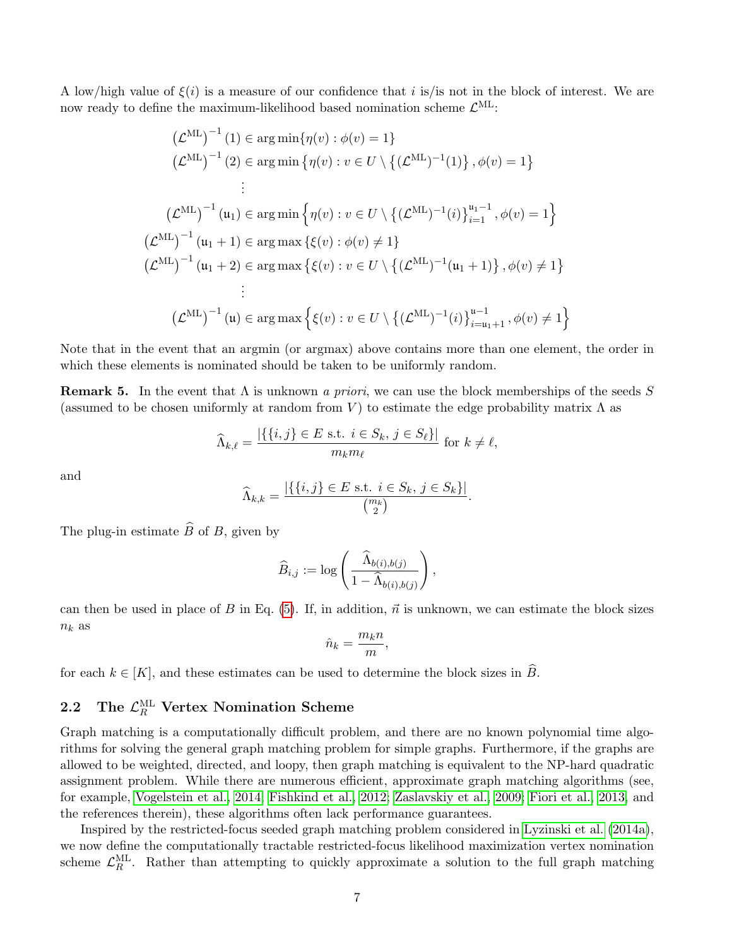A low/high value of  $\xi(i)$  is a measure of our confidence that i is/is not in the block of interest. We are now ready to define the maximum-likelihood based nomination scheme  $\mathcal{L}^{\text{ML}}$ :

$$
(\mathcal{L}^{\mathrm{ML}})^{-1}(1) \in \arg\min{\{\eta(v) : \phi(v) = 1\}}
$$
  
\n
$$
(\mathcal{L}^{\mathrm{ML}})^{-1}(2) \in \arg\min{\{\eta(v) : v \in U \setminus \{(\mathcal{L}^{\mathrm{ML}})^{-1}(1)\}, \phi(v) = 1\}}
$$
  
\n
$$
\vdots
$$
  
\n
$$
(\mathcal{L}^{\mathrm{ML}})^{-1}(u_1) \in \arg\min{\{\eta(v) : v \in U \setminus \{(\mathcal{L}^{\mathrm{ML}})^{-1}(i)\}_{i=1}^{u_1-1}, \phi(v) = 1\}}
$$
  
\n
$$
(\mathcal{L}^{\mathrm{ML}})^{-1}(u_1 + 1) \in \arg\max{\{\xi(v) : \phi(v) \neq 1\}}
$$
  
\n
$$
(\mathcal{L}^{\mathrm{ML}})^{-1}(u_1 + 2) \in \arg\max{\{\xi(v) : v \in U \setminus \{(\mathcal{L}^{\mathrm{ML}})^{-1}(u_1 + 1)\}, \phi(v) \neq 1\}}
$$
  
\n
$$
\vdots
$$
  
\n
$$
(\mathcal{L}^{\mathrm{ML}})^{-1}(u) \in \arg\max{\{\xi(v) : v \in U \setminus \{(\mathcal{L}^{\mathrm{ML}})^{-1}(i)\}_{i=u_1+1}^{u-1}, \phi(v) \neq 1\}}
$$

Note that in the event that an argmin (or argmax) above contains more than one element, the order in which these elements is nominated should be taken to be uniformly random.

<span id="page-6-0"></span>**Remark 5.** In the event that  $\Lambda$  is unknown a priori, we can use the block memberships of the seeds S (assumed to be chosen uniformly at random from V) to estimate the edge probability matrix  $\Lambda$  as

$$
\widehat{\Lambda}_{k,\ell} = \frac{|\{\{i,j\} \in E \text{ s.t. } i \in S_k, j \in S_\ell\}|}{m_k m_\ell} \text{ for } k \neq \ell,
$$

and

$$
\widehat{\Lambda}_{k,k} = \frac{|\{\{i,j\} \in E \text{ s.t. } i \in S_k, j \in S_k\}|}{\binom{m_k}{2}}.
$$

The plug-in estimate  $\widehat{B}$  of B, given by

$$
\widehat{B}_{i,j} := \log \left( \frac{\widehat{\Lambda}_{b(i),b(j)}}{1 - \widehat{\Lambda}_{b(i),b(j)}} \right),\,
$$

can then be used in place of B in Eq.  $(5)$ . If, in addition,  $\vec{n}$  is unknown, we can estimate the block sizes  $n_k$  as

$$
\hat{n}_k = \frac{m_k n}{m},
$$

for each  $k \in [K]$ , and these estimates can be used to determine the block sizes in  $\widehat{B}$ .

## 2.2 The  $\mathcal{L}^\mathrm{ML}_R$  Vertex Nomination Scheme

Graph matching is a computationally difficult problem, and there are no known polynomial time algorithms for solving the general graph matching problem for simple graphs. Furthermore, if the graphs are allowed to be weighted, directed, and loopy, then graph matching is equivalent to the NP-hard quadratic assignment problem. While there are numerous efficient, approximate graph matching algorithms (see, for example, [Vogelstein et al., 2014;](#page-28-12) [Fishkind et al., 2012;](#page-27-12) [Zaslavskiy et al., 2009;](#page-29-2) [Fiori et al., 2013,](#page-27-13) and the references therein), these algorithms often lack performance guarantees.

Inspired by the restricted-focus seeded graph matching problem considered in [Lyzinski et al.](#page-28-11) [\(2014a\)](#page-28-11), we now define the computationally tractable restricted-focus likelihood maximization vertex nomination scheme  $\mathcal{L}_R^{\text{ML}}$ . Rather than attempting to quickly approximate a solution to the full graph matching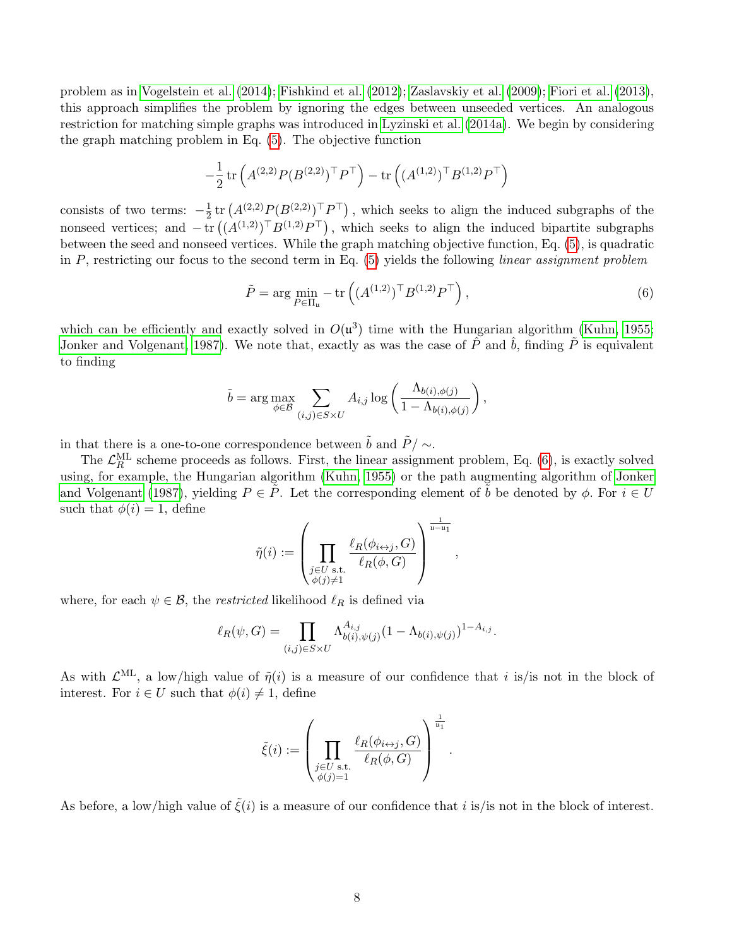problem as in [Vogelstein et al.](#page-28-12) [\(2014\)](#page-28-12); [Fishkind et al.](#page-27-12) [\(2012\)](#page-27-12); [Zaslavskiy et al.](#page-29-2) [\(2009\)](#page-29-2); [Fiori et al.](#page-27-13) [\(2013\)](#page-27-13), this approach simplifies the problem by ignoring the edges between unseeded vertices. An analogous restriction for matching simple graphs was introduced in [Lyzinski et al.](#page-28-11) [\(2014a\)](#page-28-11). We begin by considering the graph matching problem in Eq. [\(5\)](#page-5-0). The objective function

$$
-\frac{1}{2}\operatorname{tr}\left(A^{(2,2)}P(B^{(2,2)})^\top P^\top\right)-\operatorname{tr}\left((A^{(1,2)})^\top B^{(1,2)} P^\top\right)
$$

consists of two terms:  $-\frac{1}{2}$  $\frac{1}{2}$ tr  $(A^{(2,2)}P(B^{(2,2)})$ <sup>T</sup> $P$ <sup>T</sup> $)$ , which seeks to align the induced subgraphs of the nonseed vertices; and  $-\text{tr}((A^{(1,2)})^{\top}B^{(1,2)}P^{\top})$ , which seeks to align the induced bipartite subgraphs between the seed and nonseed vertices. While the graph matching objective function, Eq. [\(5\)](#page-5-0), is quadratic in  $P$ , restricting our focus to the second term in Eq. [\(5\)](#page-5-0) yields the following linear assignment problem

$$
\tilde{P} = \arg\min_{P \in \Pi_u} -\text{tr}\left( (A^{(1,2)})^\top B^{(1,2)} P^\top \right),\tag{6}
$$

<span id="page-7-0"></span>,

which can be efficiently and exactly solved in  $O(u^3)$  time with the Hungarian algorithm [\(Kuhn, 1955;](#page-28-13) [Jonker and Volgenant, 1987\)](#page-27-14). We note that, exactly as was the case of  $\hat{P}$  and  $\hat{b}$ , finding  $\hat{P}$  is equivalent to finding

$$
\tilde{b} = \arg \max_{\phi \in \mathcal{B}} \sum_{(i,j) \in S \times U} A_{i,j} \log \left( \frac{\Lambda_{b(i),\phi(j)}}{1 - \Lambda_{b(i),\phi(j)}} \right),
$$

in that there is a one-to-one correspondence between  $\tilde{b}$  and  $\tilde{P} / \sim$ .

The  $\mathcal{L}_R^{\text{ML}}$  scheme proceeds as follows. First, the linear assignment problem, Eq. [\(6\)](#page-7-0), is exactly solved using, for example, the Hungarian algorithm [\(Kuhn, 1955\)](#page-28-13) or the path augmenting algorithm of [Jonker](#page-27-14) [and Volgenant](#page-27-14) [\(1987\)](#page-27-14), yielding  $P \in \tilde{P}$ . Let the corresponding element of  $\tilde{b}$  be denoted by  $\phi$ . For  $i \in U$ such that  $\phi(i) = 1$ , define

$$
\tilde{\eta}(i) := \left(\prod_{\substack{j \in U \text{ s.t.} \\ \phi(j) \neq 1}} \frac{\ell_R(\phi_{i \leftrightarrow j}, G)}{\ell_R(\phi, G)}\right)^{\frac{1}{\mathfrak{u} - \mathfrak{u}_1}}
$$

where, for each  $\psi \in \mathcal{B}$ , the *restricted* likelihood  $\ell_R$  is defined via

$$
\ell_R(\psi, G) = \prod_{(i,j) \in S \times U} \Lambda_{b(i), \psi(j)}^{A_{i,j}} (1 - \Lambda_{b(i), \psi(j)})^{1 - A_{i,j}}.
$$

As with  $\mathcal{L}^{\text{ML}}$ , a low/high value of  $\tilde{\eta}(i)$  is a measure of our confidence that i is/is not in the block of interest. For  $i \in U$  such that  $\phi(i) \neq 1$ , define

$$
\tilde{\xi}(i) := \left(\prod_{\substack{j \in U \text{ s.t.} \\ \phi(j)=1}} \frac{\ell_R(\phi_{i \leftrightarrow j}, G)}{\ell_R(\phi, G)}\right)^{\frac{1}{u_1}}.
$$

As before, a low/high value of  $\tilde{\xi}(i)$  is a measure of our confidence that i is/is not in the block of interest.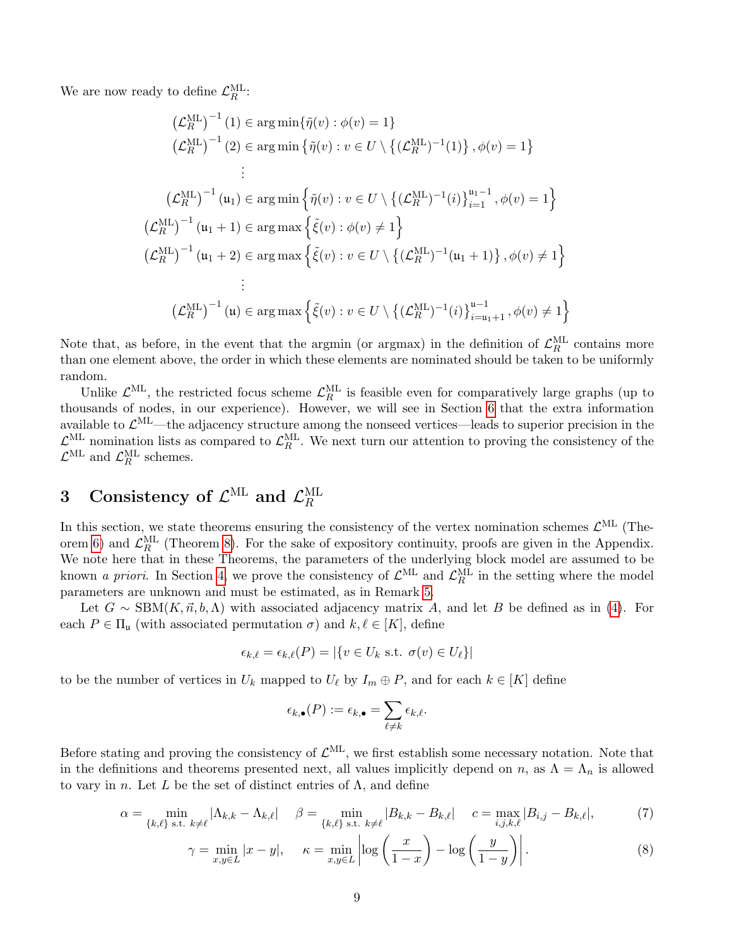We are now ready to define  $\mathcal{L}_R^{\text{ML}}$ :

$$
(\mathcal{L}_{R}^{\text{ML}})^{-1}(1) \in \arg\min{\{\tilde{\eta}(v) : \phi(v) = 1\}}
$$
  
\n
$$
(\mathcal{L}_{R}^{\text{ML}})^{-1}(2) \in \arg\min{\{\tilde{\eta}(v) : v \in U \setminus \{(\mathcal{L}_{R}^{\text{ML}})^{-1}(1)\}, \phi(v) = 1\}}
$$
  
\n
$$
\vdots
$$
  
\n
$$
(\mathcal{L}_{R}^{\text{ML}})^{-1}(u_{1}) \in \arg\min{\{\tilde{\eta}(v) : v \in U \setminus \{(\mathcal{L}_{R}^{\text{ML}})^{-1}(i)\}_{i=1}^{u_{1}-1}, \phi(v) = 1\}}
$$
  
\n
$$
(\mathcal{L}_{R}^{\text{ML}})^{-1}(u_{1} + 1) \in \arg\max{\{\tilde{\xi}(v) : \phi(v) \neq 1\}}
$$
  
\n
$$
(\mathcal{L}_{R}^{\text{ML}})^{-1}(u_{1} + 2) \in \arg\max{\{\tilde{\xi}(v) : v \in U \setminus \{(\mathcal{L}_{R}^{\text{ML}})^{-1}(u_{1} + 1)\}, \phi(v) \neq 1\}}
$$
  
\n
$$
\vdots
$$
  
\n
$$
(\mathcal{L}_{R}^{\text{ML}})^{-1}(u) \in \arg\max{\{\tilde{\xi}(v) : v \in U \setminus \{(\mathcal{L}_{R}^{\text{ML}})^{-1}(i)\}_{i=u_{1}+1}^{u-1}, \phi(v) \neq 1\}}
$$

Note that, as before, in the event that the argmin (or argmax) in the definition of  $\mathcal{L}_R^{\text{ML}}$  contains more than one element above, the order in which these elements are nominated should be taken to be uniformly random.

Unlike  $\mathcal{L}^{\text{ML}}$ , the restricted focus scheme  $\mathcal{L}_R^{\text{ML}}$  is feasible even for comparatively large graphs (up to thousands of nodes, in our experience). However, we will see in Section [6](#page-13-0) that the extra information available to  $\mathcal{L}^{\text{ML}}$ —the adjacency structure among the nonseed vertices—leads to superior precision in the  $\mathcal{L}_{\text{N}}^{\text{ML}}$  nomination lists as compared to  $\mathcal{L}_{R}^{\text{ML}}$ . We next turn our attention to proving the consistency of the  $\mathcal{L}^{\text{ML}}$  and  $\mathcal{L}_R^{\text{ML}}$  schemes.

#### 3 Consistency of  $\mathcal{L}^{\text{ML}}$  and  $\mathcal{L}^{\text{ML}}_R$ R

In this section, we state theorems ensuring the consistency of the vertex nomination schemes  $\mathcal{L}^{\text{ML}}$  (The-orem [6\)](#page-9-0) and  $\mathcal{L}_R^{\text{ML}}$  (Theorem [8\)](#page-9-1). For the sake of expository continuity, proofs are given in the Appendix. We note here that in these Theorems, the parameters of the underlying block model are assumed to be known *a priori*. In Section [4,](#page-9-3) we prove the consistency of  $\mathcal{L}^{\text{ML}}$  and  $\mathcal{L}_R^{\text{ML}}$  in the setting where the model parameters are unknown and must be estimated, as in Remark [5.](#page-6-0)

Let  $G \sim \text{SBM}(K, \vec{n}, b, \Lambda)$  with associated adjacency matrix A, and let B be defined as in [\(4\)](#page-4-2). For each  $P \in \Pi_{\mathfrak{u}}$  (with associated permutation  $\sigma$ ) and  $k, \ell \in [K]$ , define

$$
\epsilon_{k,\ell} = \epsilon_{k,\ell}(P) = |\{v \in U_k \text{ s.t. } \sigma(v) \in U_\ell\}|
$$

to be the number of vertices in  $U_k$  mapped to  $U_\ell$  by  $I_m \oplus P$ , and for each  $k \in [K]$  define

<span id="page-8-1"></span><span id="page-8-0"></span>
$$
\epsilon_{k,\bullet}(P) := \epsilon_{k,\bullet} = \sum_{\ell \neq k} \epsilon_{k,\ell}.
$$

Before stating and proving the consistency of  $\mathcal{L}^{\text{ML}}$ , we first establish some necessary notation. Note that in the definitions and theorems presented next, all values implicitly depend on n, as  $\Lambda = \Lambda_n$  is allowed to vary in n. Let L be the set of distinct entries of  $\Lambda$ , and define

$$
\alpha = \min_{\{k,\ell\} \text{ s.t. } k \neq \ell} |\Lambda_{k,k} - \Lambda_{k,\ell}| \quad \beta = \min_{\{k,\ell\} \text{ s.t. } k \neq \ell} |B_{k,k} - B_{k,\ell}| \quad c = \max_{i,j,k,\ell} |B_{i,j} - B_{k,\ell}|,\tag{7}
$$

$$
\gamma = \min_{x,y \in L} |x - y|, \quad \kappa = \min_{x,y \in L} \left| \log \left( \frac{x}{1 - x} \right) - \log \left( \frac{y}{1 - y} \right) \right|.
$$
 (8)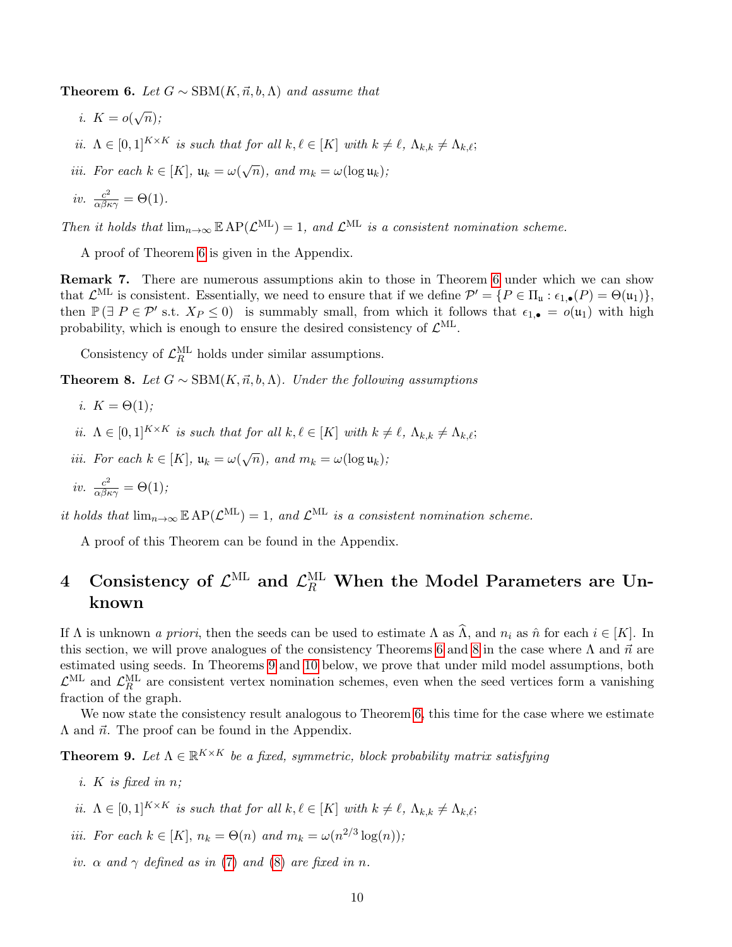<span id="page-9-0"></span>**Theorem 6.** Let  $G \sim \text{SBM}(K, \vec{n}, b, \Lambda)$  and assume that

- i.  $K = o(\sqrt{n});$
- ii.  $\Lambda \in [0, 1]^{K \times K}$  is such that for all  $k, \ell \in [K]$  with  $k \neq \ell, \Lambda_{k,k} \neq \Lambda_{k,\ell};$
- iii. For each  $k \in [K]$ ,  $\mathfrak{u}_k = \omega(\sqrt{n})$ , and  $m_k = \omega(\log \mathfrak{u}_k)$ ;

*iv.* 
$$
\frac{c^2}{\alpha \beta \kappa \gamma} = \Theta(1)
$$

Then it holds that  $\lim_{n\to\infty} \mathbb{E} AP(\mathcal{L}^{\text{ML}}) = 1$ , and  $\mathcal{L}^{\text{ML}}$  is a consistent nomination scheme.

A proof of Theorem [6](#page-9-0) is given in the Appendix.

Remark 7. There are numerous assumptions akin to those in Theorem [6](#page-9-0) under which we can show that  $\mathcal{L}^{\text{ML}}$  is consistent. Essentially, we need to ensure that if we define  $\mathcal{P}' = \{P \in \Pi_{\mathfrak{u}} : \epsilon_{1,\bullet}(P) = \Theta(\mathfrak{u}_1)\},\$ then  $\mathbb{P}(\exists P \in \mathcal{P}' \text{ s.t. } X_P \leq 0)$  is summably small, from which it follows that  $\epsilon_{1,\bullet} = o(\mu_1)$  with high probability, which is enough to ensure the desired consistency of  $\mathcal{L}^{\text{ML}}$ .

Consistency of  $\mathcal{L}^{\rm ML}_R$  holds under similar assumptions.

<span id="page-9-1"></span>**Theorem 8.** Let  $G \sim \text{SBM}(K, \vec{n}, b, \Lambda)$ . Under the following assumptions

- i.  $K = \Theta(1)$ ;
- ii.  $\Lambda \in [0, 1]^{K \times K}$  is such that for all  $k, \ell \in [K]$  with  $k \neq \ell, \Lambda_{k,k} \neq \Lambda_{k,\ell};$
- iii. For each  $k \in [K]$ ,  $\mathfrak{u}_k = \omega(\sqrt{n})$ , and  $m_k = \omega(\log \mathfrak{u}_k)$ ;

$$
iv. \ \frac{c^2}{\alpha \beta \kappa \gamma} = \Theta(1);
$$

it holds that  $\lim_{n\to\infty} \mathbb{E} AP(\mathcal{L}^{ML}) = 1$ , and  $\mathcal{L}^{ML}$  is a consistent nomination scheme.

A proof of this Theorem can be found in the Appendix.

## <span id="page-9-3"></span>4 Consistency of  $\mathcal{L}^{\textnormal{ML}}$  and  $\mathcal{L}^{\textnormal{ML}}_R$  When the Model Parameters are Unknown

If  $\Lambda$  is unknown a priori, then the seeds can be used to estimate  $\Lambda$  as  $\widehat{\Lambda}$ , and  $n_i$  as  $\widehat{n}$  for each  $i \in [K]$ . In this section, we will prove analogues of the consistency Theorems [6](#page-9-0) and [8](#page-9-1) in the case where  $\Lambda$  and  $\vec{n}$  are estimated using seeds. In Theorems [9](#page-9-2) and [10](#page-10-1) below, we prove that under mild model assumptions, both  $\mathcal{L}^{\text{ML}}$  and  $\mathcal{L}_R^{\text{ML}}$  are consistent vertex nomination schemes, even when the seed vertices form a vanishing fraction of the graph.

We now state the consistency result analogous to Theorem [6,](#page-9-0) this time for the case where we estimate  $\Lambda$  and  $\vec{n}$ . The proof can be found in the Appendix.

<span id="page-9-2"></span>**Theorem 9.** Let  $\Lambda \in \mathbb{R}^{K \times K}$  be a fixed, symmetric, block probability matrix satisfying

- i. K is fixed in  $n$ ;
- ii.  $\Lambda \in [0,1]^{K \times K}$  is such that for all  $k, \ell \in [K]$  with  $k \neq \ell, \Lambda_{k,k} \neq \Lambda_{k,\ell};$
- iii. For each  $k \in [K]$ ,  $n_k = \Theta(n)$  and  $m_k = \omega(n^{2/3} \log(n));$
- iv.  $\alpha$  and  $\gamma$  defined as in [\(7\)](#page-8-0) and [\(8\)](#page-8-1) are fixed in n.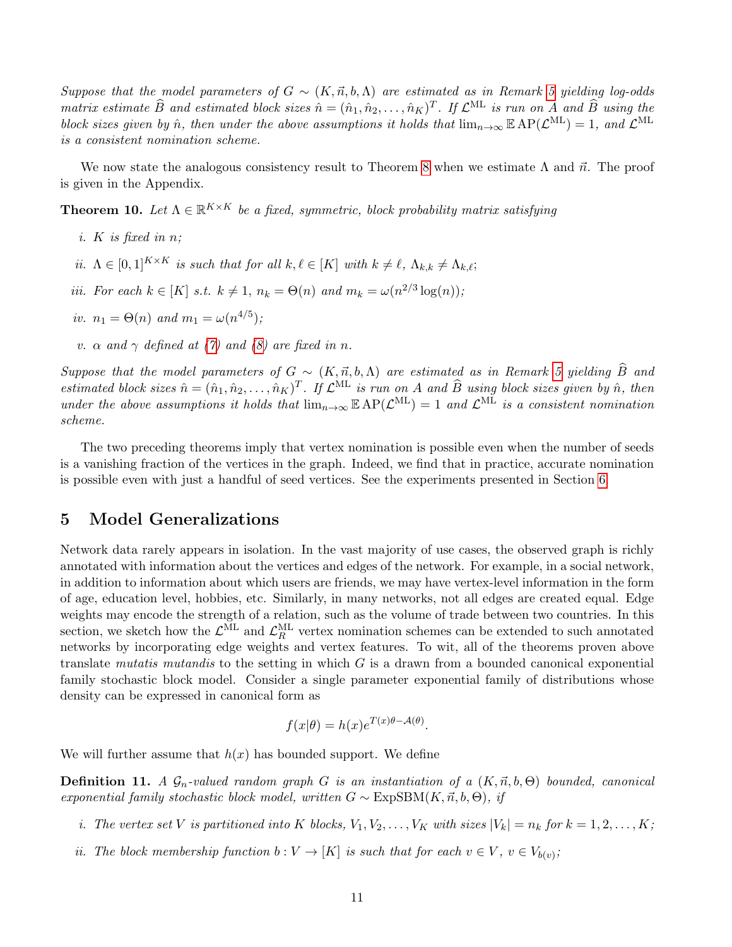Suppose that the model parameters of  $G \sim (K, \vec{n}, b, \Lambda)$  are estimated as in Remark [5](#page-6-0) yielding log-odds matrix estimate  $\widehat{B}$  and estimated block sizes  $\hat{n} = (\hat{n}_1, \hat{n}_2, \dots, \hat{n}_K)^T$ . If  $\mathcal{L}^{\text{ML}}$  is run on A and  $\widehat{B}$  using the block sizes given by  $\hat{n}$ , then under the above assumptions it holds that  $\lim_{n\to\infty} \mathbb{E} AP(\mathcal{L}^{\text{ML}}) = 1$ , and  $\mathcal{L}^{\text{ML}}$ is a consistent nomination scheme.

We now state the analogous consistency result to Theorem [8](#page-9-1) when we estimate  $\Lambda$  and  $\vec{n}$ . The proof is given in the Appendix.

<span id="page-10-1"></span>**Theorem 10.** Let  $\Lambda \in \mathbb{R}^{K \times K}$  be a fixed, symmetric, block probability matrix satisfying

- i. K is fixed in  $n$ :
- ii.  $\Lambda \in [0, 1]^{K \times K}$  is such that for all  $k, \ell \in [K]$  with  $k \neq \ell, \Lambda_{k,k} \neq \Lambda_{k,\ell};$
- *iii.* For each  $k \in [K]$  s.t.  $k \neq 1$ ,  $n_k = \Theta(n)$  and  $m_k = \omega(n^{2/3} \log(n));$
- iv.  $n_1 = \Theta(n)$  and  $m_1 = \omega(n^{4/5})$ ;
- v.  $\alpha$  and  $\gamma$  defined at [\(7\)](#page-8-0) and [\(8\)](#page-8-1) are fixed in n.

Suppose that the model parameters of  $G \sim (K, \vec{n}, b, \Lambda)$  are estimated as in Remark [5](#page-6-0) yielding  $\widehat{B}$  and estimated block sizes  $\hat{n} = (\hat{n}_1, \hat{n}_2, \dots, \hat{n}_K)^T$ . If  $\mathcal{L}^{\text{ML}}$  is run on A and  $\hat{B}$  using block sizes given by  $\hat{n}$ , then under the above assumptions it holds that  $\lim_{n\to\infty} \mathbb{E} AP(\mathcal{L}^{\text{ML}}) = 1$  and  $\mathcal{L}^{\text{ML}}$  is a consistent nomination scheme.

The two preceding theorems imply that vertex nomination is possible even when the number of seeds is a vanishing fraction of the vertices in the graph. Indeed, we find that in practice, accurate nomination is possible even with just a handful of seed vertices. See the experiments presented in Section [6.](#page-13-0)

## <span id="page-10-0"></span>5 Model Generalizations

Network data rarely appears in isolation. In the vast majority of use cases, the observed graph is richly annotated with information about the vertices and edges of the network. For example, in a social network, in addition to information about which users are friends, we may have vertex-level information in the form of age, education level, hobbies, etc. Similarly, in many networks, not all edges are created equal. Edge weights may encode the strength of a relation, such as the volume of trade between two countries. In this section, we sketch how the  $\mathcal{L}_{R}^{\text{ML}}$  and  $\mathcal{L}_{R}^{\text{ML}}$  vertex nomination schemes can be extended to such annotated networks by incorporating edge weights and vertex features. To wit, all of the theorems proven above translate mutatis mutandis to the setting in which  $G$  is a drawn from a bounded canonical exponential family stochastic block model. Consider a single parameter exponential family of distributions whose density can be expressed in canonical form as

$$
f(x|\theta) = h(x)e^{T(x)\theta - \mathcal{A}(\theta)}.
$$

We will further assume that  $h(x)$  has bounded support. We define

**Definition 11.** A  $\mathcal{G}_n$ -valued random graph G is an instantiation of a  $(K, \vec{n}, b, \Theta)$  bounded, canonical exponential family stochastic block model, written  $G \sim$  ExpSBM(K, $\vec{n}, b, \Theta$ ), if

- i. The vertex set V is partitioned into K blocks,  $V_1, V_2, \ldots, V_K$  with sizes  $|V_k| = n_k$  for  $k = 1, 2, \ldots, K$ ;
- ii. The block membership function  $b: V \to [K]$  is such that for each  $v \in V$ ,  $v \in V_{b(v)}$ ;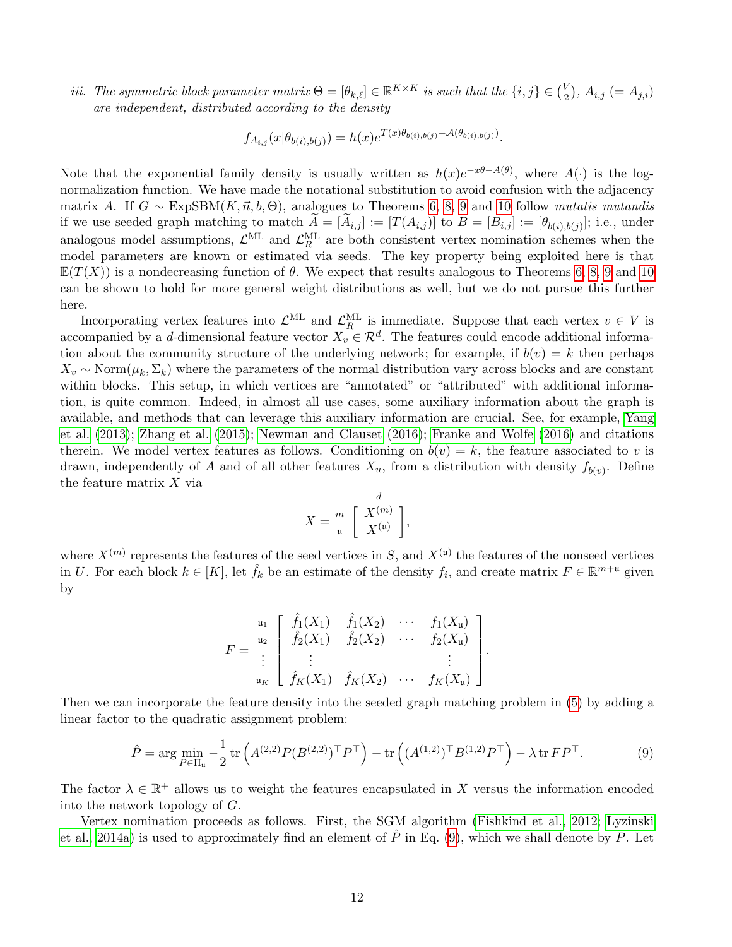iii. The symmetric block parameter matrix  $\Theta = [\theta_{k,\ell}] \in \mathbb{R}^{K \times K}$  is such that the  $\{i, j\} \in \binom{V}{2}$  $\binom{V}{2}$ ,  $A_{i,j} (= A_{j,i})$ are independent, distributed according to the density

$$
f_{A_{i,j}}(x|\theta_{b(i),b(j)}) = h(x)e^{T(x)\theta_{b(i),b(j)} - A(\theta_{b(i),b(j)})}.
$$

Note that the exponential family density is usually written as  $h(x)e^{-x\theta-A(\theta)}$ , where  $A(\cdot)$  is the lognormalization function. We have made the notational substitution to avoid confusion with the adjacency matrix A. If  $G \sim \text{ExpSBM}(K, \vec{n}, b, \Theta)$ , analogues to Theorems [6,](#page-9-0) [8,](#page-9-1) [9](#page-9-2) and [10](#page-10-1) follow mutatis mutandis if we use seeded graph matching to match  $A = [A_{i,j}] := [T(A_{i,j})]$  to  $B = [B_{i,j}] := [\theta_{b(i),b(j)}]$ ; i.e., under analogous model assumptions,  $\mathcal{L}^{\text{ML}}$  and  $\mathcal{L}^{\text{ML}}_R$  are both consistent vertex nomination schemes when the model parameters are known or estimated via seeds. The key property being exploited here is that  $\mathbb{E}(T(X))$  is a nondecreasing function of  $\theta$ . We expect that results analogous to Theorems [6,](#page-9-0) [8,](#page-9-1) [9](#page-9-2) and [10](#page-10-1) can be shown to hold for more general weight distributions as well, but we do not pursue this further here.

Incorporating vertex features into  $\mathcal{L}_{R}^{\text{ML}}$  and  $\mathcal{L}_{R}^{\text{ML}}$  is immediate. Suppose that each vertex  $v \in V$  is accompanied by a d-dimensional feature vector  $X_v \in \mathcal{R}^d$ . The features could encode additional information about the community structure of the underlying network; for example, if  $b(v) = k$  then perhaps  $X_v \sim \text{Norm}(\mu_k, \Sigma_k)$  where the parameters of the normal distribution vary across blocks and are constant within blocks. This setup, in which vertices are "annotated" or "attributed" with additional information, is quite common. Indeed, in almost all use cases, some auxiliary information about the graph is available, and methods that can leverage this auxiliary information are crucial. See, for example, [Yang](#page-29-3) [et al.](#page-29-3) [\(2013\)](#page-29-3); [Zhang et al.](#page-29-4) [\(2015\)](#page-29-4); [Newman and Clauset](#page-28-14) [\(2016\)](#page-28-14); [Franke and Wolfe](#page-27-15) [\(2016\)](#page-27-15) and citations therein. We model vertex features as follows. Conditioning on  $b(v) = k$ , the feature associated to v is drawn, independently of A and of all other features  $X_u$ , from a distribution with density  $f_{b(v)}$ . Define the feature matrix  $X$  via

<span id="page-11-0"></span>
$$
X = \begin{bmatrix} & d \\ m \\ u & X^{(u)} \end{bmatrix},
$$

where  $X^{(m)}$  represents the features of the seed vertices in S, and  $X^{(\mathfrak{u})}$  the features of the nonseed vertices in U. For each block  $k \in [K]$ , let  $\hat{f}_k$  be an estimate of the density  $f_i$ , and create matrix  $F \in \mathbb{R}^{m+1}$  given by

$$
F = \begin{bmatrix} u_1 \\ u_2 \\ \vdots \\ u_K \end{bmatrix} \begin{bmatrix} \hat{f}_1(X_1) & \hat{f}_1(X_2) & \cdots & f_1(X_u) \\ \hat{f}_2(X_1) & \hat{f}_2(X_2) & \cdots & f_2(X_u) \\ \vdots & \vdots & & \vdots \\ \hat{f}_K(X_1) & \hat{f}_K(X_2) & \cdots & f_K(X_u) \end{bmatrix}.
$$

Then we can incorporate the feature density into the seeded graph matching problem in [\(5\)](#page-5-0) by adding a linear factor to the quadratic assignment problem:

$$
\hat{P} = \arg\min_{P \in \Pi_u} -\frac{1}{2} \operatorname{tr} \left( A^{(2,2)} P (B^{(2,2)})^\top P^\top \right) - \operatorname{tr} \left( (A^{(1,2)})^\top B^{(1,2)} P^\top \right) - \lambda \operatorname{tr} F P^\top. \tag{9}
$$

The factor  $\lambda \in \mathbb{R}^+$  allows us to weight the features encapsulated in X versus the information encoded into the network topology of G.

Vertex nomination proceeds as follows. First, the SGM algorithm [\(Fishkind et al., 2012;](#page-27-12) [Lyzinski](#page-28-11) [et al., 2014a\)](#page-28-11) is used to approximately find an element of  $\hat{P}$  in Eq. [\(9\)](#page-11-0), which we shall denote by P. Let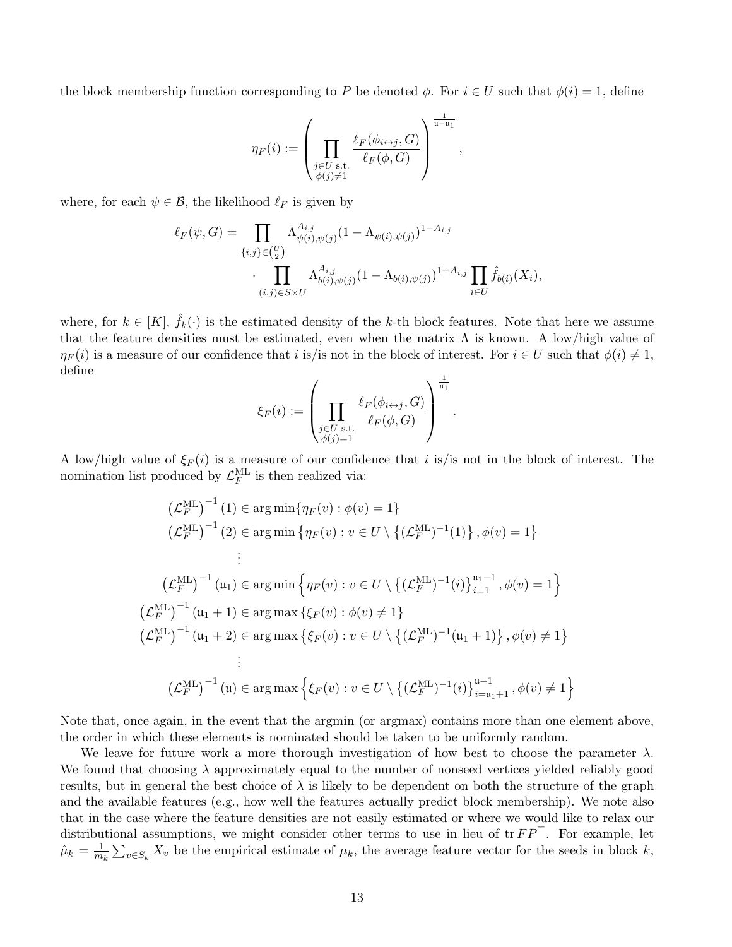the block membership function corresponding to P be denoted  $\phi$ . For  $i \in U$  such that  $\phi(i) = 1$ , define

$$
\eta_F(i) := \left(\prod_{\substack{j \in U \text{ s.t.} \\ \phi(j) \neq 1}} \frac{\ell_F(\phi_{i \leftrightarrow j}, G)}{\ell_F(\phi, G)}\right)^{\frac{1}{u-u_1}},
$$

where, for each  $\psi \in \mathcal{B}$ , the likelihood  $\ell_F$  is given by

 $\left(\right)$ 

 $\left($ 

$$
\ell_F(\psi, G) = \prod_{\{i,j\} \in {U \choose 2}} \Lambda_{\psi(i), \psi(j)}^{A_{i,j}} (1 - \Lambda_{\psi(i), \psi(j)})^{1 - A_{i,j}} \cdot \prod_{(i,j) \in S \times U} \Lambda_{b(i), \psi(j)}^{A_{i,j}} (1 - \Lambda_{b(i), \psi(j)})^{1 - A_{i,j}} \prod_{i \in U} \hat{f}_{b(i)}(X_i),
$$

where, for  $k \in [K], \hat{f}_k(\cdot)$  is the estimated density of the k-th block features. Note that here we assume that the feature densities must be estimated, even when the matrix  $\Lambda$  is known. A low/high value of  $\eta_F(i)$  is a measure of our confidence that i is/is not in the block of interest. For  $i \in U$  such that  $\phi(i) \neq 1$ , define

$$
\xi_F(i) := \left(\prod_{\substack{j \in U \text{ s.t.}\\ \phi(j)=1}} \frac{\ell_F(\phi_{i \leftrightarrow j}, G)}{\ell_F(\phi, G)}\right)^{\frac{1}{\mathfrak{u}_1}}.
$$

A low/high value of  $\xi_F(i)$  is a measure of our confidence that i is/is not in the block of interest. The nomination list produced by  $\mathcal{L}_F^{\text{ML}}$  is then realized via:

$$
(\mathcal{L}_{F}^{\text{ML}})^{-1}(1) \in \arg\min\{\eta_{F}(v) : \phi(v) = 1\}
$$
  
\n
$$
(\mathcal{L}_{F}^{\text{ML}})^{-1}(2) \in \arg\min\{\eta_{F}(v) : v \in U \setminus \{(\mathcal{L}_{F}^{\text{ML}})^{-1}(1)\}, \phi(v) = 1\}
$$
  
\n
$$
\vdots
$$
  
\n
$$
(\mathcal{L}_{F}^{\text{ML}})^{-1}(u_{1}) \in \arg\min\{\eta_{F}(v) : v \in U \setminus \{(\mathcal{L}_{F}^{\text{ML}})^{-1}(i)\}_{i=1}^{u_{1}-1}, \phi(v) = 1\}
$$
  
\n
$$
\mathcal{L}_{F}^{\text{ML}})^{-1}(u_{1} + 1) \in \arg\max\{\xi_{F}(v) : \phi(v) \neq 1\}
$$
  
\n
$$
\mathcal{L}_{F}^{\text{ML}})^{-1}(u_{1} + 2) \in \arg\max\{\xi_{F}(v) : v \in U \setminus \{(\mathcal{L}_{F}^{\text{ML}})^{-1}(u_{1} + 1)\}, \phi(v) \neq 1\}
$$
  
\n
$$
\vdots
$$
  
\n
$$
(\mathcal{L}_{F}^{\text{ML}})^{-1}(u) \in \arg\max\{\xi_{F}(v) : v \in U \setminus \{(\mathcal{L}_{F}^{\text{ML}})^{-1}(i)\}_{i=u_{1}+1}^{u-1}, \phi(v) \neq 1\}
$$

Note that, once again, in the event that the argmin (or argmax) contains more than one element above, the order in which these elements is nominated should be taken to be uniformly random.

We leave for future work a more thorough investigation of how best to choose the parameter  $\lambda$ . We found that choosing  $\lambda$  approximately equal to the number of nonseed vertices yielded reliably good results, but in general the best choice of  $\lambda$  is likely to be dependent on both the structure of the graph and the available features (e.g., how well the features actually predict block membership). We note also that in the case where the feature densities are not easily estimated or where we would like to relax our distributional assumptions, we might consider other terms to use in lieu of  $tr FP<sup>T</sup>$ . For example, let  $\hat{\mu}_k = \frac{1}{m}$  $\frac{1}{m_k} \sum_{v \in S_k} X_v$  be the empirical estimate of  $\mu_k$ , the average feature vector for the seeds in block k,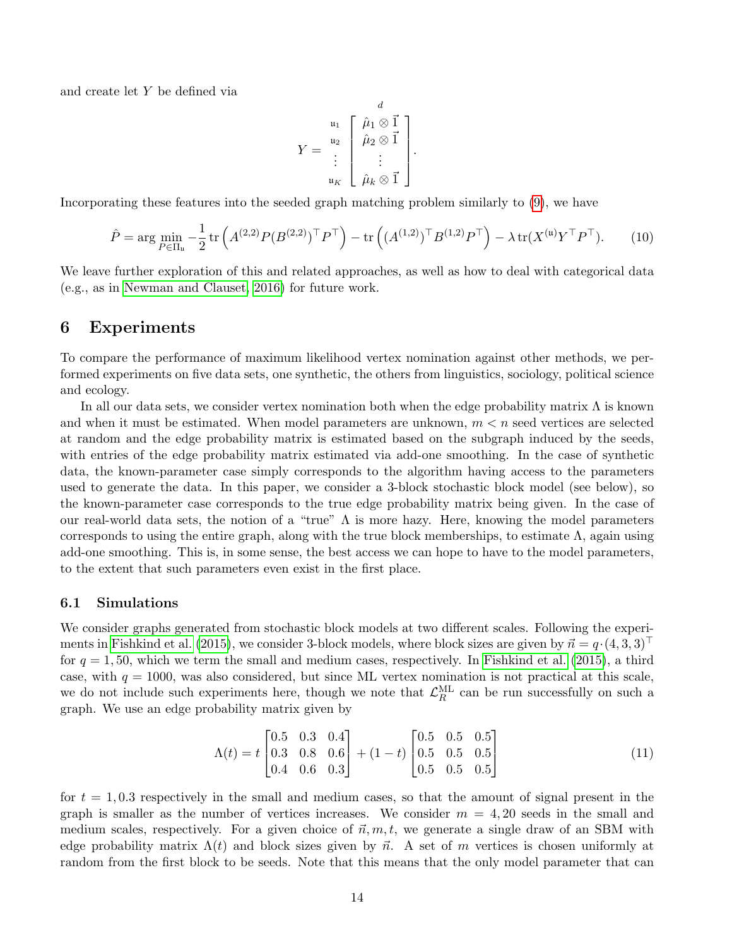and create let Y be defined via

$$
Y = \begin{bmatrix} u_1 \\ u_2 \\ \vdots \\ u_K \end{bmatrix} \begin{bmatrix} \hat{\mu}_1 \otimes \vec{1} \\ \hat{\mu}_2 \otimes \vec{1} \\ \vdots \\ \hat{\mu}_k \otimes \vec{1} \end{bmatrix}.
$$

Incorporating these features into the seeded graph matching problem similarly to [\(9\)](#page-11-0), we have

$$
\hat{P} = \arg\min_{P \in \Pi_u} -\frac{1}{2} \operatorname{tr} \left( A^{(2,2)} P (B^{(2,2)})^\top P^\top \right) - \operatorname{tr} \left( (A^{(1,2)})^\top B^{(1,2)} P^\top \right) - \lambda \operatorname{tr} (X^{(u)} Y^\top P^\top). \tag{10}
$$

We leave further exploration of this and related approaches, as well as how to deal with categorical data (e.g., as in [Newman and Clauset, 2016\)](#page-28-14) for future work.

## <span id="page-13-0"></span>6 Experiments

To compare the performance of maximum likelihood vertex nomination against other methods, we performed experiments on five data sets, one synthetic, the others from linguistics, sociology, political science and ecology.

In all our data sets, we consider vertex nomination both when the edge probability matrix  $\Lambda$  is known and when it must be estimated. When model parameters are unknown,  $m < n$  seed vertices are selected at random and the edge probability matrix is estimated based on the subgraph induced by the seeds, with entries of the edge probability matrix estimated via add-one smoothing. In the case of synthetic data, the known-parameter case simply corresponds to the algorithm having access to the parameters used to generate the data. In this paper, we consider a 3-block stochastic block model (see below), so the known-parameter case corresponds to the true edge probability matrix being given. In the case of our real-world data sets, the notion of a "true"  $\Lambda$  is more hazy. Here, knowing the model parameters corresponds to using the entire graph, along with the true block memberships, to estimate  $\Lambda$ , again using add-one smoothing. This is, in some sense, the best access we can hope to have to the model parameters, to the extent that such parameters even exist in the first place.

#### 6.1 Simulations

We consider graphs generated from stochastic block models at two different scales. Following the experi-ments in [Fishkind et al.](#page-27-8) [\(2015\)](#page-27-8), we consider 3-block models, where block sizes are given by  $\vec{n} = q \cdot (4, 3, 3)^\perp$ for  $q = 1, 50$ , which we term the small and medium cases, respectively. In [Fishkind et al.](#page-27-8) [\(2015\)](#page-27-8), a third case, with  $q = 1000$ , was also considered, but since ML vertex nomination is not practical at this scale, we do not include such experiments here, though we note that  $\mathcal{L}_R^{\text{ML}}$  can be run successfully on such a graph. We use an edge probability matrix given by

$$
\Lambda(t) = t \begin{bmatrix} 0.5 & 0.3 & 0.4 \\ 0.3 & 0.8 & 0.6 \\ 0.4 & 0.6 & 0.3 \end{bmatrix} + (1 - t) \begin{bmatrix} 0.5 & 0.5 & 0.5 \\ 0.5 & 0.5 & 0.5 \\ 0.5 & 0.5 & 0.5 \end{bmatrix}
$$
(11)

for  $t = 1,0.3$  respectively in the small and medium cases, so that the amount of signal present in the graph is smaller as the number of vertices increases. We consider  $m = 4, 20$  seeds in the small and medium scales, respectively. For a given choice of  $\vec{n}, m, t$ , we generate a single draw of an SBM with edge probability matrix  $\Lambda(t)$  and block sizes given by  $\vec{n}$ . A set of m vertices is chosen uniformly at random from the first block to be seeds. Note that this means that the only model parameter that can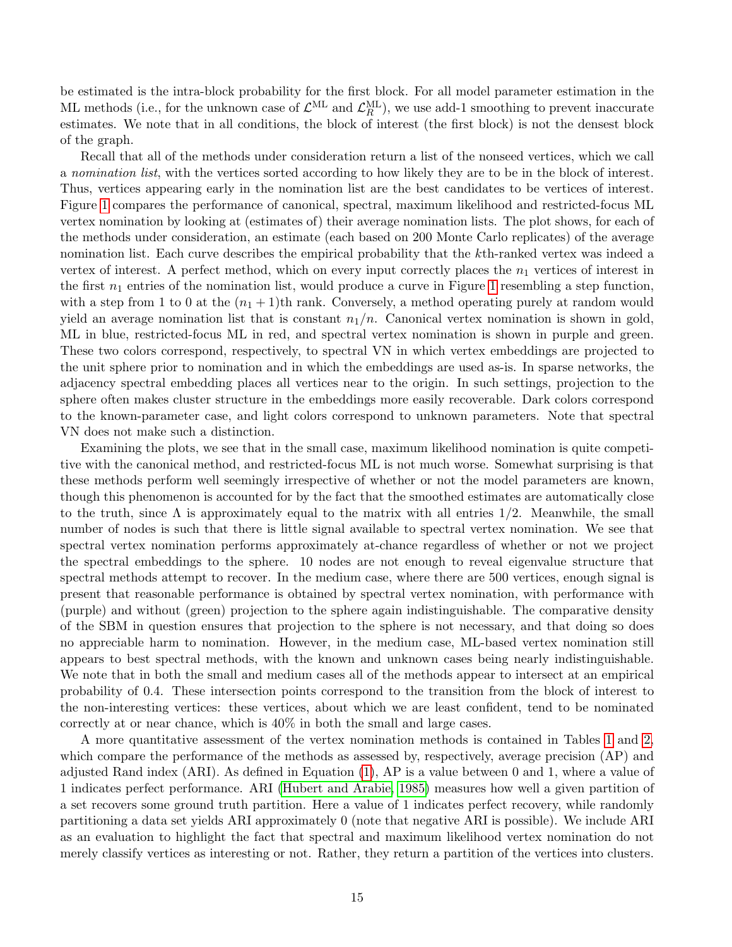be estimated is the intra-block probability for the first block. For all model parameter estimation in the ML methods (i.e., for the unknown case of  $\mathcal{L}^{\text{ML}}$  and  $\mathcal{L}^{\text{ML}}_R$ ), we use add-1 smoothing to prevent inaccurate estimates. We note that in all conditions, the block of interest (the first block) is not the densest block of the graph.

Recall that all of the methods under consideration return a list of the nonseed vertices, which we call a nomination list, with the vertices sorted according to how likely they are to be in the block of interest. Thus, vertices appearing early in the nomination list are the best candidates to be vertices of interest. Figure [1](#page-15-0) compares the performance of canonical, spectral, maximum likelihood and restricted-focus ML vertex nomination by looking at (estimates of) their average nomination lists. The plot shows, for each of the methods under consideration, an estimate (each based on 200 Monte Carlo replicates) of the average nomination list. Each curve describes the empirical probability that the kth-ranked vertex was indeed a vertex of interest. A perfect method, which on every input correctly places the  $n_1$  vertices of interest in the first  $n_1$  entries of the nomination list, would produce a curve in Figure [1](#page-15-0) resembling a step function, with a step from 1 to 0 at the  $(n_1 + 1)$ th rank. Conversely, a method operating purely at random would yield an average nomination list that is constant  $n_1/n$ . Canonical vertex nomination is shown in gold, ML in blue, restricted-focus ML in red, and spectral vertex nomination is shown in purple and green. These two colors correspond, respectively, to spectral VN in which vertex embeddings are projected to the unit sphere prior to nomination and in which the embeddings are used as-is. In sparse networks, the adjacency spectral embedding places all vertices near to the origin. In such settings, projection to the sphere often makes cluster structure in the embeddings more easily recoverable. Dark colors correspond to the known-parameter case, and light colors correspond to unknown parameters. Note that spectral VN does not make such a distinction.

Examining the plots, we see that in the small case, maximum likelihood nomination is quite competitive with the canonical method, and restricted-focus ML is not much worse. Somewhat surprising is that these methods perform well seemingly irrespective of whether or not the model parameters are known, though this phenomenon is accounted for by the fact that the smoothed estimates are automatically close to the truth, since  $\Lambda$  is approximately equal to the matrix with all entries 1/2. Meanwhile, the small number of nodes is such that there is little signal available to spectral vertex nomination. We see that spectral vertex nomination performs approximately at-chance regardless of whether or not we project the spectral embeddings to the sphere. 10 nodes are not enough to reveal eigenvalue structure that spectral methods attempt to recover. In the medium case, where there are 500 vertices, enough signal is present that reasonable performance is obtained by spectral vertex nomination, with performance with (purple) and without (green) projection to the sphere again indistinguishable. The comparative density of the SBM in question ensures that projection to the sphere is not necessary, and that doing so does no appreciable harm to nomination. However, in the medium case, ML-based vertex nomination still appears to best spectral methods, with the known and unknown cases being nearly indistinguishable. We note that in both the small and medium cases all of the methods appear to intersect at an empirical probability of 0.4. These intersection points correspond to the transition from the block of interest to the non-interesting vertices: these vertices, about which we are least confident, tend to be nominated correctly at or near chance, which is 40% in both the small and large cases.

A more quantitative assessment of the vertex nomination methods is contained in Tables [1](#page-16-0) and [2,](#page-16-1) which compare the performance of the methods as assessed by, respectively, average precision (AP) and adjusted Rand index (ARI). As defined in Equation [\(1\)](#page-2-1), AP is a value between 0 and 1, where a value of 1 indicates perfect performance. ARI [\(Hubert and Arabie, 1985\)](#page-27-16) measures how well a given partition of a set recovers some ground truth partition. Here a value of 1 indicates perfect recovery, while randomly partitioning a data set yields ARI approximately 0 (note that negative ARI is possible). We include ARI as an evaluation to highlight the fact that spectral and maximum likelihood vertex nomination do not merely classify vertices as interesting or not. Rather, they return a partition of the vertices into clusters.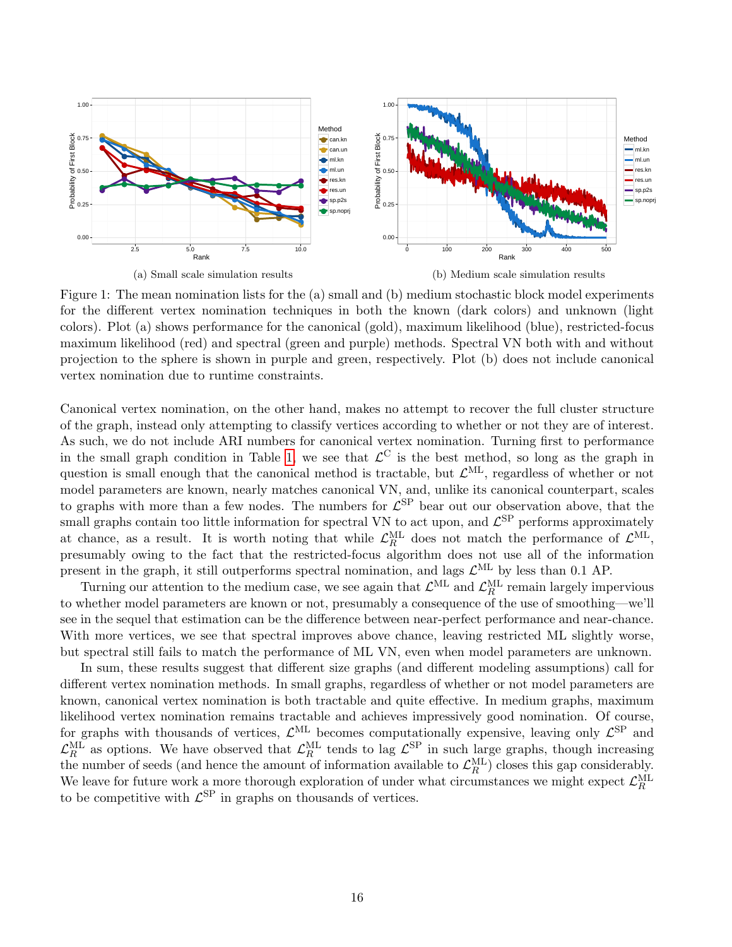<span id="page-15-0"></span>

Figure 1: The mean nomination lists for the (a) small and (b) medium stochastic block model experiments for the different vertex nomination techniques in both the known (dark colors) and unknown (light colors). Plot (a) shows performance for the canonical (gold), maximum likelihood (blue), restricted-focus maximum likelihood (red) and spectral (green and purple) methods. Spectral VN both with and without projection to the sphere is shown in purple and green, respectively. Plot (b) does not include canonical vertex nomination due to runtime constraints.

Canonical vertex nomination, on the other hand, makes no attempt to recover the full cluster structure of the graph, instead only attempting to classify vertices according to whether or not they are of interest. As such, we do not include ARI numbers for canonical vertex nomination. Turning first to performance in the small graph condition in Table [1,](#page-16-0) we see that  $\mathcal{L}^C$  is the best method, so long as the graph in question is small enough that the canonical method is tractable, but  $\mathcal{L}^{\text{ML}}$ , regardless of whether or not model parameters are known, nearly matches canonical VN, and, unlike its canonical counterpart, scales to graphs with more than a few nodes. The numbers for  $\mathcal{L}^{\rm SP}$  bear out our observation above, that the small graphs contain too little information for spectral VN to act upon, and  $\mathcal{L}^{\text{SP}}$  performs approximately at chance, as a result. It is worth noting that while  $\mathcal{L}_R^{\text{ML}}$  does not match the performance of  $\mathcal{L}^{\text{ML}}$ , presumably owing to the fact that the restricted-focus algorithm does not use all of the information present in the graph, it still outperforms spectral nomination, and lags  $\mathcal{L}^{\text{ML}}$  by less than 0.1 AP.

Turning our attention to the medium case, we see again that  $\mathcal{L}^{\text{ML}}$  and  $\mathcal{L}^{\text{ML}}_R$  remain largely impervious to whether model parameters are known or not, presumably a consequence of the use of smoothing—we'll see in the sequel that estimation can be the difference between near-perfect performance and near-chance. With more vertices, we see that spectral improves above chance, leaving restricted ML slightly worse, but spectral still fails to match the performance of ML VN, even when model parameters are unknown.

In sum, these results suggest that different size graphs (and different modeling assumptions) call for different vertex nomination methods. In small graphs, regardless of whether or not model parameters are known, canonical vertex nomination is both tractable and quite effective. In medium graphs, maximum likelihood vertex nomination remains tractable and achieves impressively good nomination. Of course, for graphs with thousands of vertices,  $\mathcal{L}^{\text{ML}}$  becomes computationally expensive, leaving only  $\mathcal{L}^{\text{SP}}$  and  $\mathcal{L}_R^{\text{ML}}$  as options. We have observed that  $\mathcal{L}_R^{\text{ML}}$  tends to lag  $\mathcal{L}^{\text{SP}}$  in such large graphs, though increasing the number of seeds (and hence the amount of information available to  $\mathcal{L}_R^{\text{ML}}$ ) closes this gap considerably. We leave for future work a more thorough exploration of under what circumstances we might expect  $\mathcal{L}_R^{\text{ML}}$ to be competitive with  $\mathcal{L}^{\text{SP}}$  in graphs on thousands of vertices.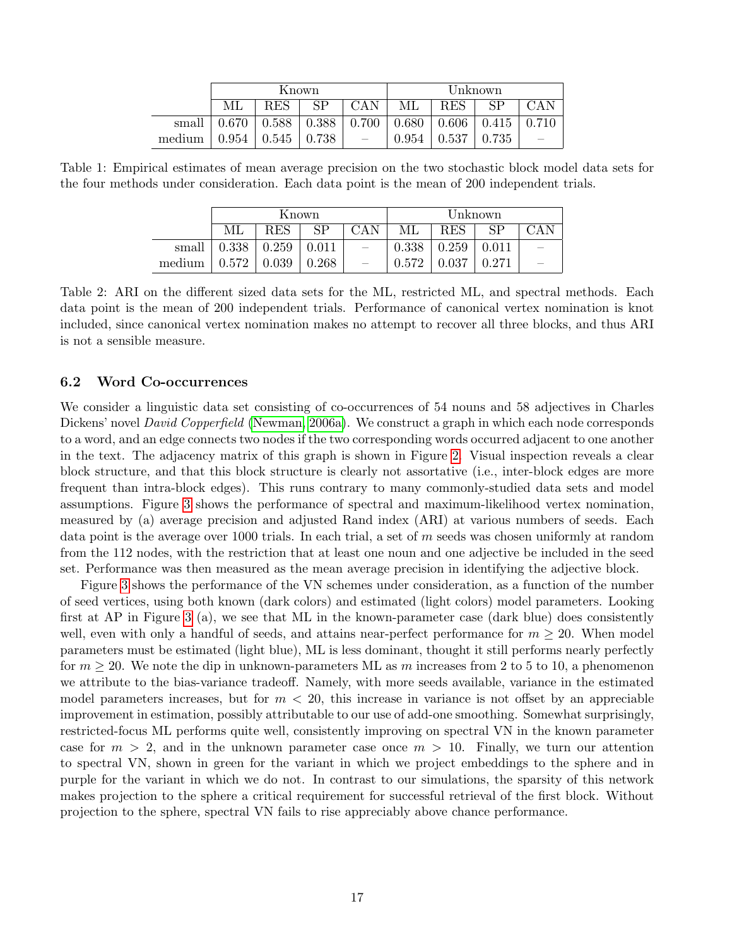|        | Known       |                                           |    |                          | Unknown |             |                                                           |       |
|--------|-------------|-------------------------------------------|----|--------------------------|---------|-------------|-----------------------------------------------------------|-------|
|        | МL          | <b>RES</b>                                | SP | -CAN                     | МL      | RES         | SP                                                        | CAN   |
| small  | $\pm 0.670$ |                                           |    |                          |         |             | $0.588$   $0.388$   $0.700$   $0.680$   $0.606$   $0.415$ | 0.710 |
| medium |             | $\vert$ 0.954 $\vert$ 0.545 $\vert$ 0.738 |    | $\overline{\phantom{0}}$ | 0.954   | $\pm 0.537$ | 0.735                                                     |       |

<span id="page-16-1"></span><span id="page-16-0"></span>Table 1: Empirical estimates of mean average precision on the two stochastic block model data sets for the four methods under consideration. Each data point is the mean of 200 independent trials.

|        | Known |            |       |                          | Unknown |            |       |  |
|--------|-------|------------|-------|--------------------------|---------|------------|-------|--|
|        | ML    | <b>RES</b> | SP    | CAN                      | МL      | <b>RES</b> | SP    |  |
| small  | 0.338 | 0.259      | 0.011 | $\overline{\phantom{0}}$ | 0.338   | 0.259      | 0.011 |  |
| medium | 0.572 | 0.039      | 0.268 | $\qquad \qquad -$        | 0.572   | 0.037      | 0.271 |  |

Table 2: ARI on the different sized data sets for the ML, restricted ML, and spectral methods. Each data point is the mean of 200 independent trials. Performance of canonical vertex nomination is knot included, since canonical vertex nomination makes no attempt to recover all three blocks, and thus ARI is not a sensible measure.

#### 6.2 Word Co-occurrences

We consider a linguistic data set consisting of co-occurrences of 54 nouns and 58 adjectives in Charles Dickens' novel *David Copperfield* [\(Newman, 2006a\)](#page-28-15). We construct a graph in which each node corresponds to a word, and an edge connects two nodes if the two corresponding words occurred adjacent to one another in the text. The adjacency matrix of this graph is shown in Figure [2.](#page-17-0) Visual inspection reveals a clear block structure, and that this block structure is clearly not assortative (i.e., inter-block edges are more frequent than intra-block edges). This runs contrary to many commonly-studied data sets and model assumptions. Figure [3](#page-17-1) shows the performance of spectral and maximum-likelihood vertex nomination, measured by (a) average precision and adjusted Rand index (ARI) at various numbers of seeds. Each data point is the average over 1000 trials. In each trial, a set of  $m$  seeds was chosen uniformly at random from the 112 nodes, with the restriction that at least one noun and one adjective be included in the seed set. Performance was then measured as the mean average precision in identifying the adjective block.

Figure [3](#page-17-1) shows the performance of the VN schemes under consideration, as a function of the number of seed vertices, using both known (dark colors) and estimated (light colors) model parameters. Looking first at AP in Figure [3](#page-17-1) (a), we see that ML in the known-parameter case (dark blue) does consistently well, even with only a handful of seeds, and attains near-perfect performance for  $m \geq 20$ . When model parameters must be estimated (light blue), ML is less dominant, thought it still performs nearly perfectly for  $m \geq 20$ . We note the dip in unknown-parameters ML as m increases from 2 to 5 to 10, a phenomenon we attribute to the bias-variance tradeoff. Namely, with more seeds available, variance in the estimated model parameters increases, but for  $m < 20$ , this increase in variance is not offset by an appreciable improvement in estimation, possibly attributable to our use of add-one smoothing. Somewhat surprisingly, restricted-focus ML performs quite well, consistently improving on spectral VN in the known parameter case for  $m > 2$ , and in the unknown parameter case once  $m > 10$ . Finally, we turn our attention to spectral VN, shown in green for the variant in which we project embeddings to the sphere and in purple for the variant in which we do not. In contrast to our simulations, the sparsity of this network makes projection to the sphere a critical requirement for successful retrieval of the first block. Without projection to the sphere, spectral VN fails to rise appreciably above chance performance.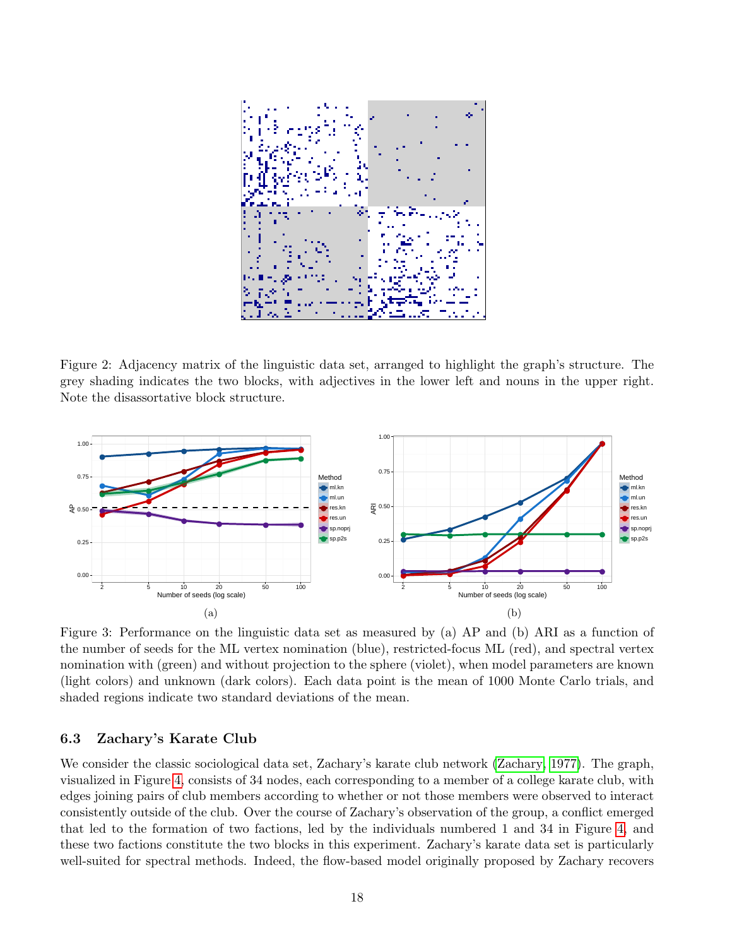<span id="page-17-0"></span>

Figure 2: Adjacency matrix of the linguistic data set, arranged to highlight the graph's structure. The grey shading indicates the two blocks, with adjectives in the lower left and nouns in the upper right. Note the disassortative block structure.

<span id="page-17-1"></span>

Figure 3: Performance on the linguistic data set as measured by (a) AP and (b) ARI as a function of the number of seeds for the ML vertex nomination (blue), restricted-focus ML (red), and spectral vertex nomination with (green) and without projection to the sphere (violet), when model parameters are known (light colors) and unknown (dark colors). Each data point is the mean of 1000 Monte Carlo trials, and shaded regions indicate two standard deviations of the mean.

#### 6.3 Zachary's Karate Club

We consider the classic sociological data set, Zachary's karate club network [\(Zachary, 1977\)](#page-29-5). The graph, visualized in Figure [4,](#page-18-0) consists of 34 nodes, each corresponding to a member of a college karate club, with edges joining pairs of club members according to whether or not those members were observed to interact consistently outside of the club. Over the course of Zachary's observation of the group, a conflict emerged that led to the formation of two factions, led by the individuals numbered 1 and 34 in Figure [4,](#page-18-0) and these two factions constitute the two blocks in this experiment. Zachary's karate data set is particularly well-suited for spectral methods. Indeed, the flow-based model originally proposed by Zachary recovers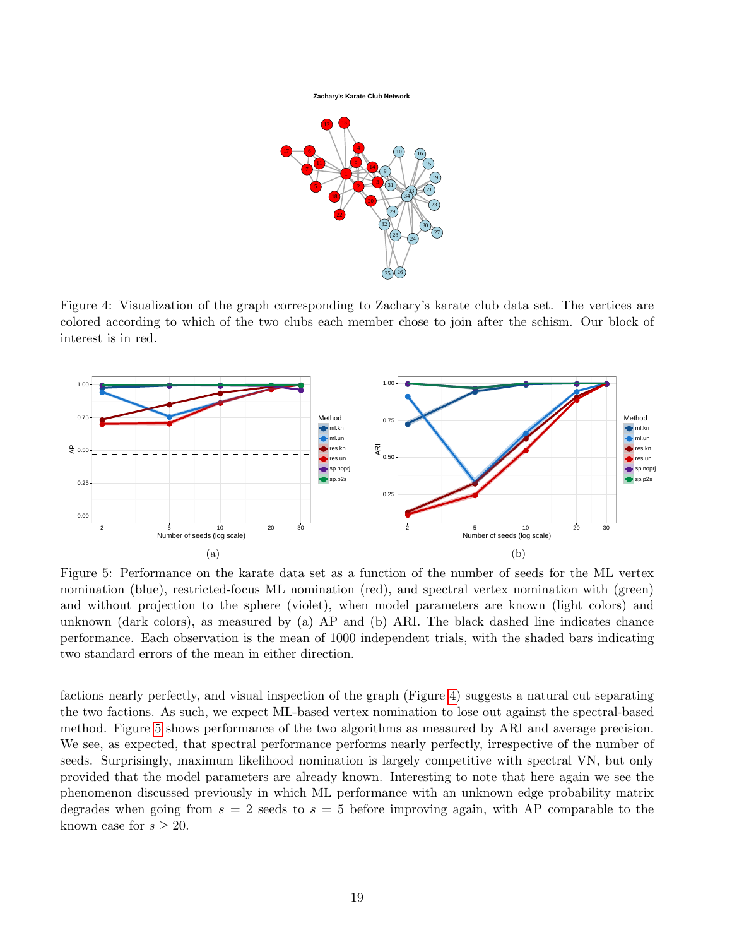

<span id="page-18-0"></span>

Figure 4: Visualization of the graph corresponding to Zachary's karate club data set. The vertices are colored according to which of the two clubs each member chose to join after the schism. Our block of interest is in red.

<span id="page-18-1"></span>

Figure 5: Performance on the karate data set as a function of the number of seeds for the ML vertex nomination (blue), restricted-focus ML nomination (red), and spectral vertex nomination with (green) and without projection to the sphere (violet), when model parameters are known (light colors) and unknown (dark colors), as measured by (a) AP and (b) ARI. The black dashed line indicates chance performance. Each observation is the mean of 1000 independent trials, with the shaded bars indicating two standard errors of the mean in either direction.

factions nearly perfectly, and visual inspection of the graph (Figure [4\)](#page-18-0) suggests a natural cut separating the two factions. As such, we expect ML-based vertex nomination to lose out against the spectral-based method. Figure [5](#page-18-1) shows performance of the two algorithms as measured by ARI and average precision. We see, as expected, that spectral performance performs nearly perfectly, irrespective of the number of seeds. Surprisingly, maximum likelihood nomination is largely competitive with spectral VN, but only provided that the model parameters are already known. Interesting to note that here again we see the phenomenon discussed previously in which ML performance with an unknown edge probability matrix degrades when going from  $s = 2$  seeds to  $s = 5$  before improving again, with AP comparable to the known case for  $s \geq 20$ .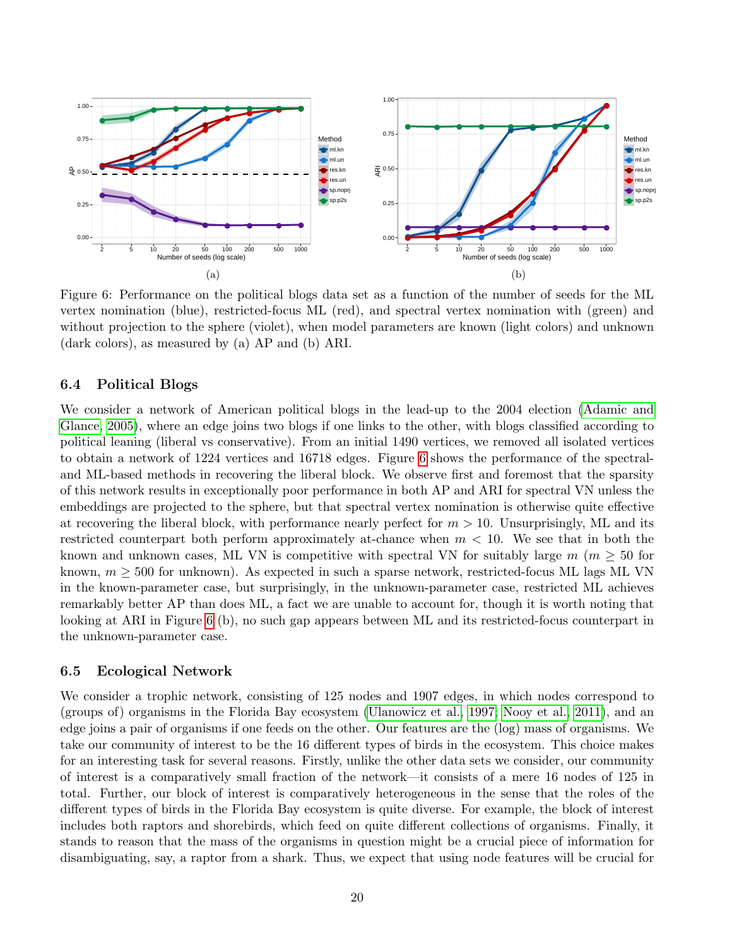<span id="page-19-0"></span>

Figure 6: Performance on the political blogs data set as a function of the number of seeds for the ML vertex nomination (blue), restricted-focus ML (red), and spectral vertex nomination with (green) and without projection to the sphere (violet), when model parameters are known (light colors) and unknown (dark colors), as measured by (a) AP and (b) ARI.

#### 6.4 Political Blogs

We consider a network of American political blogs in the lead-up to the 2004 election [\(Adamic and](#page-27-17) [Glance, 2005\)](#page-27-17), where an edge joins two blogs if one links to the other, with blogs classified according to political leaning (liberal vs conservative). From an initial 1490 vertices, we removed all isolated vertices to obtain a network of 1224 vertices and 16718 edges. Figure [6](#page-19-0) shows the performance of the spectraland ML-based methods in recovering the liberal block. We observe first and foremost that the sparsity of this network results in exceptionally poor performance in both AP and ARI for spectral VN unless the embeddings are projected to the sphere, but that spectral vertex nomination is otherwise quite effective at recovering the liberal block, with performance nearly perfect for  $m > 10$ . Unsurprisingly, ML and its restricted counterpart both perform approximately at-chance when  $m < 10$ . We see that in both the known and unknown cases, ML VN is competitive with spectral VN for suitably large  $m \ (m \geq 50 \text{ for }$ known,  $m \geq 500$  for unknown). As expected in such a sparse network, restricted-focus ML lags ML VN in the known-parameter case, but surprisingly, in the unknown-parameter case, restricted ML achieves remarkably better AP than does ML, a fact we are unable to account for, though it is worth noting that looking at ARI in Figure [6](#page-19-0) (b), no such gap appears between ML and its restricted-focus counterpart in the unknown-parameter case.

#### 6.5 Ecological Network

We consider a trophic network, consisting of 125 nodes and 1907 edges, in which nodes correspond to (groups of) organisms in the Florida Bay ecosystem [\(Ulanowicz et al., 1997;](#page-28-16) [Nooy et al., 2011\)](#page-28-17), and an edge joins a pair of organisms if one feeds on the other. Our features are the (log) mass of organisms. We take our community of interest to be the 16 different types of birds in the ecosystem. This choice makes for an interesting task for several reasons. Firstly, unlike the other data sets we consider, our community of interest is a comparatively small fraction of the network—it consists of a mere 16 nodes of 125 in total. Further, our block of interest is comparatively heterogeneous in the sense that the roles of the different types of birds in the Florida Bay ecosystem is quite diverse. For example, the block of interest includes both raptors and shorebirds, which feed on quite different collections of organisms. Finally, it stands to reason that the mass of the organisms in question might be a crucial piece of information for disambiguating, say, a raptor from a shark. Thus, we expect that using node features will be crucial for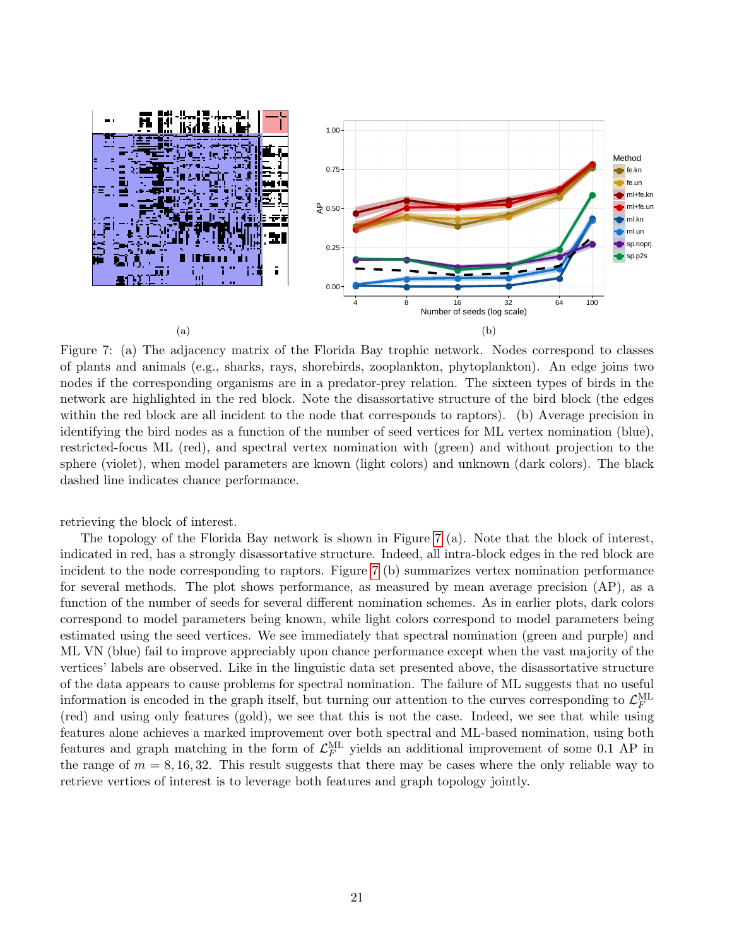<span id="page-20-0"></span>

Figure 7: (a) The adjacency matrix of the Florida Bay trophic network. Nodes correspond to classes of plants and animals (e.g., sharks, rays, shorebirds, zooplankton, phytoplankton). An edge joins two nodes if the corresponding organisms are in a predator-prey relation. The sixteen types of birds in the network are highlighted in the red block. Note the disassortative structure of the bird block (the edges within the red block are all incident to the node that corresponds to raptors). (b) Average precision in identifying the bird nodes as a function of the number of seed vertices for ML vertex nomination (blue), restricted-focus ML (red), and spectral vertex nomination with (green) and without projection to the sphere (violet), when model parameters are known (light colors) and unknown (dark colors). The black dashed line indicates chance performance.

retrieving the block of interest.

The topology of the Florida Bay network is shown in Figure [7](#page-20-0) (a). Note that the block of interest, indicated in red, has a strongly disassortative structure. Indeed, all intra-block edges in the red block are incident to the node corresponding to raptors. Figure [7](#page-20-0) (b) summarizes vertex nomination performance for several methods. The plot shows performance, as measured by mean average precision (AP), as a function of the number of seeds for several different nomination schemes. As in earlier plots, dark colors correspond to model parameters being known, while light colors correspond to model parameters being estimated using the seed vertices. We see immediately that spectral nomination (green and purple) and ML VN (blue) fail to improve appreciably upon chance performance except when the vast majority of the vertices' labels are observed. Like in the linguistic data set presented above, the disassortative structure of the data appears to cause problems for spectral nomination. The failure of ML suggests that no useful information is encoded in the graph itself, but turning our attention to the curves corresponding to  $\mathcal{L}_F^{\text{ML}}$ (red) and using only features (gold), we see that this is not the case. Indeed, we see that while using features alone achieves a marked improvement over both spectral and ML-based nomination, using both features and graph matching in the form of  $\mathcal{L}_F^{\mathrm{ML}}$  yields an additional improvement of some 0.1 AP in the range of  $m = 8, 16, 32$ . This result suggests that there may be cases where the only reliable way to retrieve vertices of interest is to leverage both features and graph topology jointly.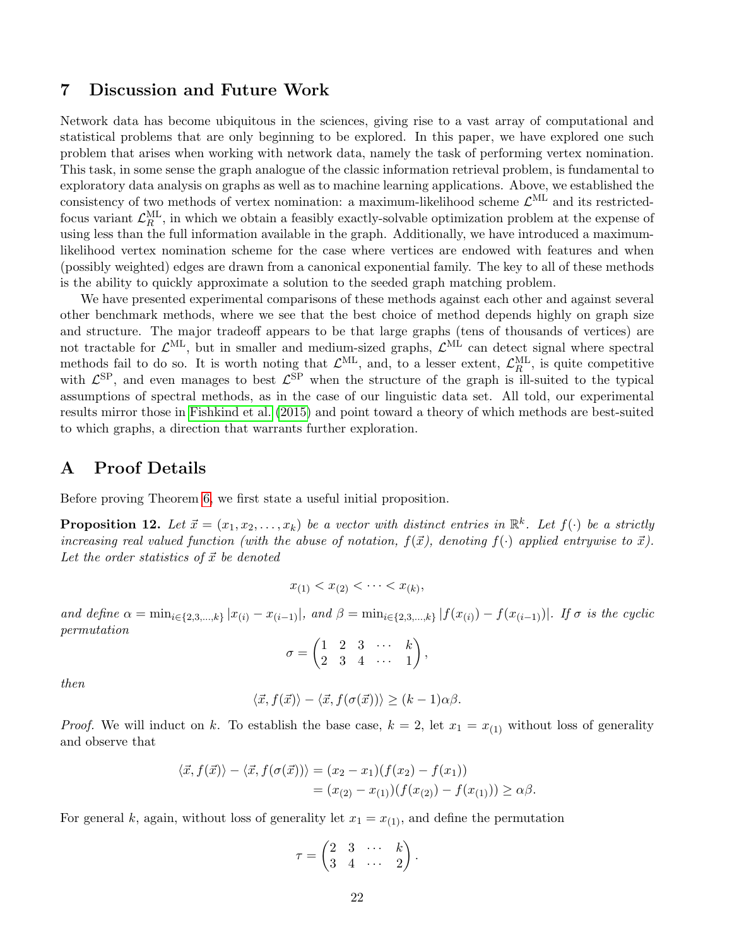### <span id="page-21-0"></span>7 Discussion and Future Work

Network data has become ubiquitous in the sciences, giving rise to a vast array of computational and statistical problems that are only beginning to be explored. In this paper, we have explored one such problem that arises when working with network data, namely the task of performing vertex nomination. This task, in some sense the graph analogue of the classic information retrieval problem, is fundamental to exploratory data analysis on graphs as well as to machine learning applications. Above, we established the consistency of two methods of vertex nomination: a maximum-likelihood scheme  $\mathcal{L}^{\text{ML}}$  and its restrictedfocus variant  $\mathcal{L}_R^{\text{ML}}$ , in which we obtain a feasibly exactly-solvable optimization problem at the expense of using less than the full information available in the graph. Additionally, we have introduced a maximumlikelihood vertex nomination scheme for the case where vertices are endowed with features and when (possibly weighted) edges are drawn from a canonical exponential family. The key to all of these methods is the ability to quickly approximate a solution to the seeded graph matching problem.

We have presented experimental comparisons of these methods against each other and against several other benchmark methods, where we see that the best choice of method depends highly on graph size and structure. The major tradeoff appears to be that large graphs (tens of thousands of vertices) are not tractable for  $\mathcal{L}^{\text{ML}}$ , but in smaller and medium-sized graphs,  $\mathcal{L}^{\text{ML}}$  can detect signal where spectral methods fail to do so. It is worth noting that  $\mathcal{L}^{\text{ML}}$ , and, to a lesser extent,  $\mathcal{L}_R^{\text{ML}}$ , is quite competitive with  $\mathcal{L}^{\text{SP}}$ , and even manages to best  $\mathcal{L}^{\text{SP}}$  when the structure of the graph is ill-suited to the typical assumptions of spectral methods, as in the case of our linguistic data set. All told, our experimental results mirror those in [Fishkind et al.](#page-27-8) [\(2015\)](#page-27-8) and point toward a theory of which methods are best-suited to which graphs, a direction that warrants further exploration.

## A Proof Details

Before proving Theorem [6,](#page-9-0) we first state a useful initial proposition.

<span id="page-21-1"></span>**Proposition 12.** Let  $\vec{x} = (x_1, x_2, \ldots, x_k)$  be a vector with distinct entries in  $\mathbb{R}^k$ . Let  $f(\cdot)$  be a strictly increasing real valued function (with the abuse of notation,  $f(\vec{x})$ , denoting  $f(\cdot)$  applied entrywise to  $\vec{x}$ ). Let the order statistics of  $\vec{x}$  be denoted

$$
x_{(1)} < x_{(2)} < \cdots < x_{(k)},
$$

and define  $\alpha = \min_{i \in \{2,3,\ldots,k\}} |x_{(i)} - x_{(i-1)}|$ , and  $\beta = \min_{i \in \{2,3,\ldots,k\}} |f(x_{(i)}) - f(x_{(i-1)})|$ . If  $\sigma$  is the cyclic permutation

$$
\sigma = \begin{pmatrix} 1 & 2 & 3 & \cdots & k \\ 2 & 3 & 4 & \cdots & 1 \end{pmatrix},
$$

then

$$
\langle \vec{x}, f(\vec{x}) \rangle - \langle \vec{x}, f(\sigma(\vec{x})) \rangle \ge (k-1)\alpha\beta.
$$

*Proof.* We will induct on k. To establish the base case,  $k = 2$ , let  $x_1 = x_{(1)}$  without loss of generality and observe that

$$
\langle \vec{x}, f(\vec{x}) \rangle - \langle \vec{x}, f(\sigma(\vec{x})) \rangle = (x_2 - x_1)(f(x_2) - f(x_1))
$$
  
=  $(x_{(2)} - x_{(1)})(f(x_{(2)}) - f(x_{(1)})) \ge \alpha \beta$ .

For general k, again, without loss of generality let  $x_1 = x_{(1)}$ , and define the permutation

$$
\tau = \begin{pmatrix} 2 & 3 & \cdots & k \\ 3 & 4 & \cdots & 2 \end{pmatrix}.
$$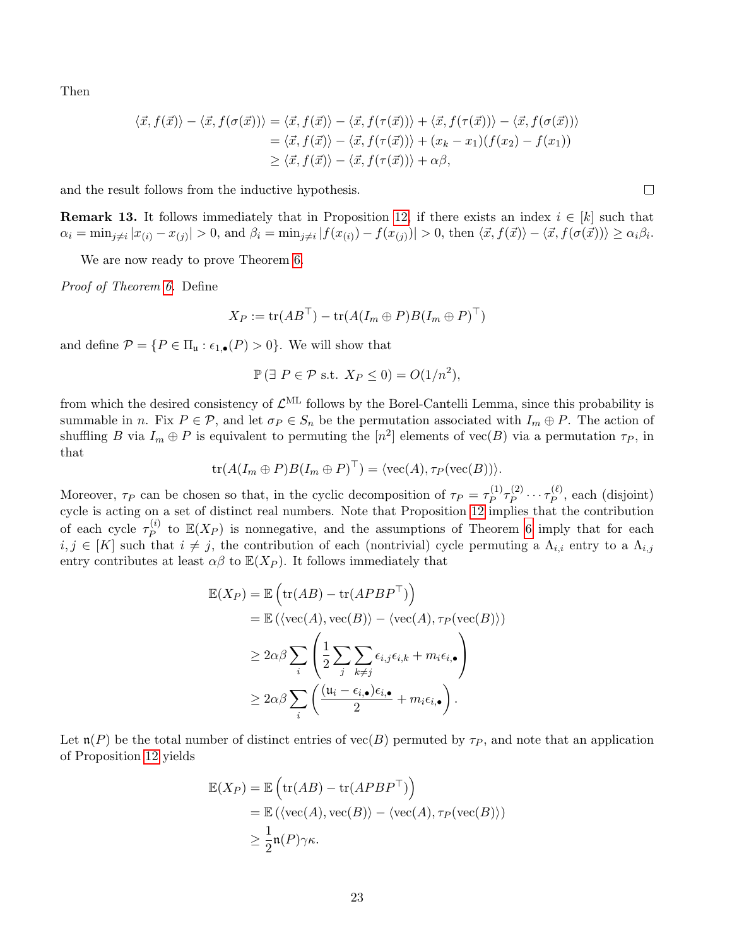Then

$$
\langle \vec{x}, f(\vec{x}) \rangle - \langle \vec{x}, f(\sigma(\vec{x})) \rangle = \langle \vec{x}, f(\vec{x}) \rangle - \langle \vec{x}, f(\tau(\vec{x})) \rangle + \langle \vec{x}, f(\tau(\vec{x})) \rangle - \langle \vec{x}, f(\sigma(\vec{x})) \rangle
$$
  

$$
= \langle \vec{x}, f(\vec{x}) \rangle - \langle \vec{x}, f(\tau(\vec{x})) \rangle + (x_k - x_1)(f(x_2) - f(x_1))
$$
  

$$
\geq \langle \vec{x}, f(\vec{x}) \rangle - \langle \vec{x}, f(\tau(\vec{x})) \rangle + \alpha \beta,
$$

and the result follows from the inductive hypothesis.

**Remark 13.** It follows immediately that in Proposition [12,](#page-21-1) if there exists an index  $i \in [k]$  such that  $\alpha_i = \min_{j \neq i} |x_{(i)} - x_{(j)}| > 0$ , and  $\beta_i = \min_{j \neq i} |f(x_{(i)}) - f(x_{(j)})| > 0$ , then  $\langle \vec{x}, f(\vec{x}) \rangle - \langle \vec{x}, f(\sigma(\vec{x})) \rangle \ge \alpha_i \beta_i$ .

We are now ready to prove Theorem [6.](#page-9-0)

Proof of Theorem [6.](#page-9-0) Define

$$
X_P := \text{tr}(AB^{\top}) - \text{tr}(A(I_m \oplus P)B(I_m \oplus P)^{\top})
$$

and define  $\mathcal{P} = \{P \in \Pi_{\mathfrak{u}} : \epsilon_{1,\bullet}(P) > 0\}$ . We will show that

$$
\mathbb{P}(\exists P \in \mathcal{P} \text{ s.t. } X_P \le 0) = O(1/n^2),
$$

from which the desired consistency of  $\mathcal{L}^{\text{ML}}$  follows by the Borel-Cantelli Lemma, since this probability is summable in n. Fix  $P \in \mathcal{P}$ , and let  $\sigma_P \in S_n$  be the permutation associated with  $I_m \oplus P$ . The action of shuffling B via  $I_m \oplus P$  is equivalent to permuting the  $[n^2]$  elements of vec $(B)$  via a permutation  $\tau_P$ , in that

$$
\operatorname{tr}(A(I_m \oplus P)B(I_m \oplus P)^\top) = \langle \operatorname{vec}(A), \tau_P(\operatorname{vec}(B)) \rangle.
$$

Moreover,  $\tau_P$  can be chosen so that, in the cyclic decomposition of  $\tau_P = \tau_P^{(1)}$  $\frac{(1)}{P} \tau_P^{(2)}$  $\tau_P^{(2)} \cdots \tau_P^{(\ell)}$  $P_P^{(\ell)}$ , each (disjoint) cycle is acting on a set of distinct real numbers. Note that Proposition [12](#page-21-1) implies that the contribution of each cycle  $\tau_P^{(i)}$  $P_P^{(i)}$  to  $\mathbb{E}(X_P)$  is nonnegative, and the assumptions of Theorem [6](#page-9-0) imply that for each  $i, j \in [K]$  such that  $i \neq j$ , the contribution of each (nontrivial) cycle permuting a  $\Lambda_{i,i}$  entry to a  $\Lambda_{i,j}$ entry contributes at least  $\alpha\beta$  to  $\mathbb{E}(X_P)$ . It follows immediately that

$$
\mathbb{E}(X_P) = \mathbb{E}\left(\text{tr}(AB) - \text{tr}(APBP^{\top})\right)
$$
  
=  $\mathbb{E}\left(\langle \text{vec}(A), \text{vec}(B)\rangle - \langle \text{vec}(A), \tau_P(\text{vec}(B))\rangle\right)$   
 $\geq 2\alpha\beta \sum_i \left(\frac{1}{2} \sum_j \sum_{k \neq j} \epsilon_{i,j} \epsilon_{i,k} + m_i \epsilon_{i,\bullet}\right)$   
 $\geq 2\alpha\beta \sum_i \left(\frac{(u_i - \epsilon_{i,\bullet})\epsilon_{i,\bullet}}{2} + m_i \epsilon_{i,\bullet}\right).$ 

Let  $\mathfrak{n}(P)$  be the total number of distinct entries of vec(B) permuted by  $\tau_P$ , and note that an application of Proposition [12](#page-21-1) yields

$$
\mathbb{E}(X_P) = \mathbb{E}\left(\text{tr}(AB) - \text{tr}(APBP^{\top})\right)
$$
  
=  $\mathbb{E}(\langle \text{vec}(A), \text{vec}(B) \rangle - \langle \text{vec}(A), \tau_P(\text{vec}(B)) \rangle$   
 $\geq \frac{1}{2}\mathfrak{n}(P)\gamma\kappa.$ 

 $\Box$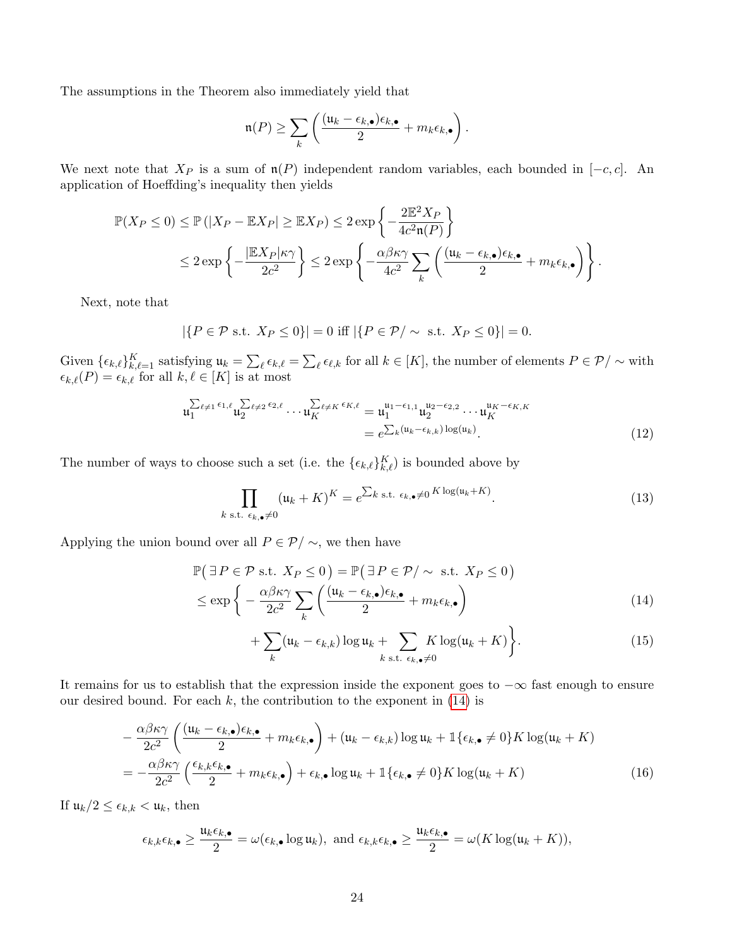The assumptions in the Theorem also immediately yield that

$$
\mathfrak{n}(P) \geq \sum_{k} \left( \frac{(\mathfrak{u}_k - \epsilon_{k,\bullet})\epsilon_{k,\bullet}}{2} + m_k \epsilon_{k,\bullet} \right).
$$

We next note that  $X_P$  is a sum of  $\mathfrak{n}(P)$  independent random variables, each bounded in [-c, c]. An application of Hoeffding's inequality then yields

$$
\mathbb{P}(X_P \le 0) \le \mathbb{P}\left(|X_P - \mathbb{E}X_P| \ge \mathbb{E}X_P\right) \le 2 \exp\left\{-\frac{2\mathbb{E}^2 X_P}{4c^2 \mathfrak{n}(P)}\right\}
$$
  

$$
\le 2 \exp\left\{-\frac{|\mathbb{E}X_P|\kappa \gamma}{2c^2}\right\} \le 2 \exp\left\{-\frac{\alpha\beta\kappa\gamma}{4c^2} \sum_k \left(\frac{(u_k - \epsilon_{k,\bullet})\epsilon_{k,\bullet}}{2} + m_k \epsilon_{k,\bullet}\right)\right\}.
$$

Next, note that

$$
|\{P \in \mathcal{P} \text{ s.t. } X_P \le 0\}| = 0 \text{ iff } |\{P \in \mathcal{P}/\sim \text{ s.t. } X_P \le 0\}| = 0.
$$

Given  $\{\epsilon_{k,\ell}\}_{k,\ell=1}^K$  satisfying  $\mathfrak{u}_k = \sum_{\ell} \epsilon_{k,\ell} = \sum_{\ell} \epsilon_{\ell,k}$  for all  $k \in [K]$ , the number of elements  $P \in \mathcal{P}/\sim$  with  $\epsilon_{k,\ell}(P) = \epsilon_{k,\ell}$  for all  $k, \ell \in [K]$  is at most

$$
\mathfrak{u}_{1}^{\sum_{\ell\neq 1}\epsilon_{1,\ell}}\mathfrak{u}_{2}^{\sum_{\ell\neq 2}\epsilon_{2,\ell}}\cdots\mathfrak{u}_{K}^{\sum_{\ell\neq K}\epsilon_{K,\ell}} = \mathfrak{u}_{1}^{\mathfrak{u}_{1}-\epsilon_{1,1}}\mathfrak{u}_{2}^{\mathfrak{u}_{2}-\epsilon_{2,2}}\cdots\mathfrak{u}_{K}^{\mathfrak{u}_{K}-\epsilon_{K,K}} = e^{\sum_{k}(\mathfrak{u}_{k}-\epsilon_{k,k})\log(\mathfrak{u}_{k})}.
$$
\n(12)

The number of ways to choose such a set (i.e. the  $\{\epsilon_{k,\ell}\}_{k,\ell}^K$ ) is bounded above by

$$
\prod_{k \text{ s.t. } \epsilon_{k,\bullet} \neq 0} (u_k + K)^K = e^{\sum_{k \text{ s.t. } \epsilon_{k,\bullet} \neq 0} K \log(u_k + K)}.
$$
\n(13)

Applying the union bound over all  $P \in \mathcal{P}/\sim$ , we then have

$$
\mathbb{P}\left(\exists P \in \mathcal{P} \text{ s.t. } X_P \le 0\right) = \mathbb{P}\left(\exists P \in \mathcal{P}/\sim \text{ s.t. } X_P \le 0\right)
$$
\n
$$
\le \exp\left\{-\frac{\alpha\beta\kappa\gamma}{2c^2} \sum_{k} \left(\frac{(u_k - \epsilon_{k,\bullet})\epsilon_{k,\bullet}}{2} + m_k \epsilon_{k,\bullet}\right)\right\} \tag{14}
$$

<span id="page-23-1"></span><span id="page-23-0"></span>
$$
+\sum_{k}(\mathfrak{u}_{k}-\epsilon_{k,k})\log \mathfrak{u}_{k}+\sum_{k \text{ s.t. } \epsilon_{k,\bullet}\neq 0}K\log(\mathfrak{u}_{k}+K)\bigg\}.
$$
 (15)

It remains for us to establish that the expression inside the exponent goes to  $-\infty$  fast enough to ensure our desired bound. For each  $k$ , the contribution to the exponent in [\(14\)](#page-23-0) is

$$
-\frac{\alpha\beta\kappa\gamma}{2c^2}\left(\frac{(u_k-\epsilon_{k,\bullet})\epsilon_{k,\bullet}}{2}+m_k\epsilon_{k,\bullet}\right)+(u_k-\epsilon_{k,k})\log u_k+\mathbb{1}\{\epsilon_{k,\bullet}\neq 0\}K\log(u_k+K)
$$

$$
=-\frac{\alpha\beta\kappa\gamma}{2c^2}\left(\frac{\epsilon_{k,k}\epsilon_{k,\bullet}}{2}+m_k\epsilon_{k,\bullet}\right)+\epsilon_{k,\bullet}\log u_k+\mathbb{1}\{\epsilon_{k,\bullet}\neq 0\}K\log(u_k+K)\tag{16}
$$

If  $\mathfrak{u}_k/2 \leq \epsilon_{k,k} < \mathfrak{u}_k$ , then

$$
\epsilon_{k,k}\epsilon_{k,\bullet} \ge \frac{\mathfrak{u}_k \epsilon_{k,\bullet}}{2} = \omega(\epsilon_{k,\bullet} \log \mathfrak{u}_k), \text{ and } \epsilon_{k,k}\epsilon_{k,\bullet} \ge \frac{\mathfrak{u}_k \epsilon_{k,\bullet}}{2} = \omega(K \log(\mathfrak{u}_k + K)),
$$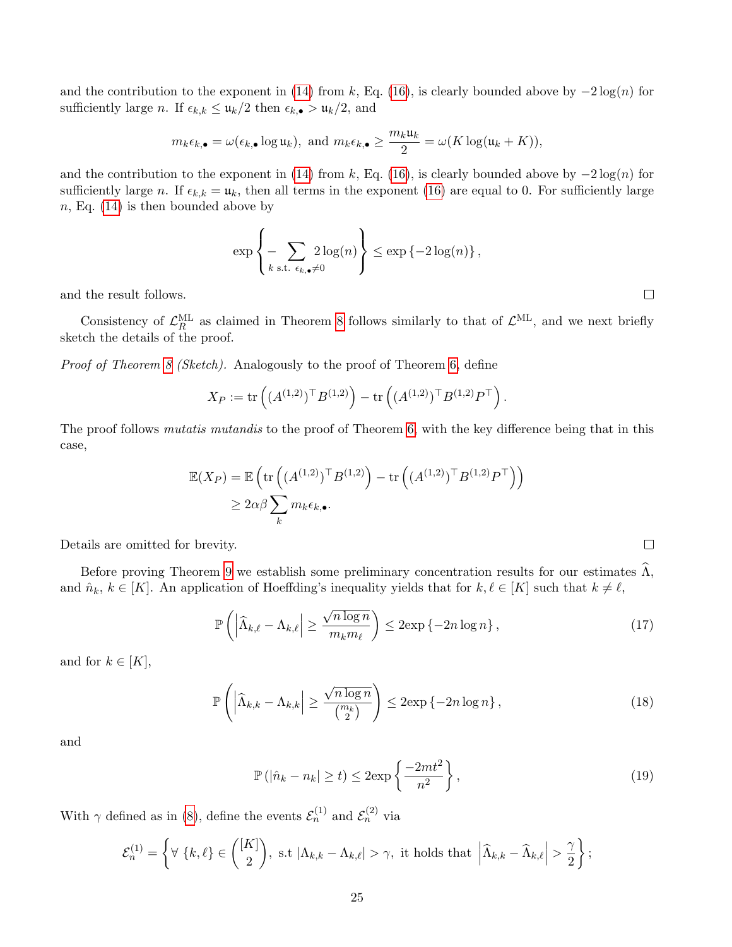and the contribution to the exponent in [\(14\)](#page-23-0) from k, Eq. [\(16\)](#page-23-1), is clearly bounded above by  $-2\log(n)$  for sufficiently large n. If  $\epsilon_{k,k} \leq \mathfrak{u}_k/2$  then  $\epsilon_{k,\bullet} > \mathfrak{u}_k/2$ , and

$$
m_k \epsilon_{k,\bullet} = \omega(\epsilon_{k,\bullet} \log u_k), \text{ and } m_k \epsilon_{k,\bullet} \ge \frac{m_k u_k}{2} = \omega(K \log(u_k + K)),
$$

and the contribution to the exponent in [\(14\)](#page-23-0) from k, Eq. [\(16\)](#page-23-1), is clearly bounded above by  $-2\log(n)$  for sufficiently large n. If  $\epsilon_{k,k} = \mathfrak{u}_k$ , then all terms in the exponent [\(16\)](#page-23-1) are equal to 0. For sufficiently large  $n$ , Eq. [\(14\)](#page-23-0) is then bounded above by

$$
\exp\left\{-\sum_{k \text{ s.t. } \epsilon_k, \bullet \neq 0} 2\log(n)\right\} \leq \exp\left\{-2\log(n)\right\},\,
$$

and the result follows.

Consistency of  $\mathcal{L}_R^{\text{ML}}$  as claimed in Theorem [8](#page-9-1) follows similarly to that of  $\mathcal{L}^{\text{ML}}$ , and we next briefly sketch the details of the proof.

Proof of Theorem [8](#page-9-1) (Sketch). Analogously to the proof of Theorem [6,](#page-9-0) define

$$
X_P := \text{tr}\left( (A^{(1,2)})^\top B^{(1,2)} \right) - \text{tr}\left( (A^{(1,2)})^\top B^{(1,2)} P^\top \right).
$$

The proof follows *mutatis mutandis* to the proof of Theorem [6,](#page-9-0) with the key difference being that in this case,

$$
\mathbb{E}(X_P) = \mathbb{E}\left(\text{tr}\left((A^{(1,2)})^\top B^{(1,2)}\right) - \text{tr}\left((A^{(1,2)})^\top B^{(1,2)} P^\top\right)\right)
$$
  

$$
\geq 2\alpha\beta \sum_k m_k \epsilon_{k,\bullet}.
$$

Details are omitted for brevity.

Before proving Theorem [9](#page-9-2) we establish some preliminary concentration results for our estimates  $\widehat{\Lambda}$ , and  $\hat{n}_k, k \in [K]$ . An application of Hoeffding's inequality yields that for  $k, \ell \in [K]$  such that  $k \neq \ell$ ,

$$
\mathbb{P}\left(\left|\widehat{\Lambda}_{k,\ell}-\Lambda_{k,\ell}\right|\geq \frac{\sqrt{n\log n}}{m_k m_\ell}\right)\leq 2\exp\left\{-2n\log n\right\},\tag{17}
$$

and for  $k \in [K]$ ,

$$
\mathbb{P}\left(\left|\widehat{\Lambda}_{k,k} - \Lambda_{k,k}\right| \ge \frac{\sqrt{n\log n}}{\binom{m_k}{2}}\right) \le 2\exp\left\{-2n\log n\right\},\tag{18}
$$

and

$$
\mathbb{P}\left(|\hat{n}_k - n_k| \ge t\right) \le 2 \exp\left\{\frac{-2mt^2}{n^2}\right\},\tag{19}
$$

With  $\gamma$  defined as in [\(8\)](#page-8-1), define the events  $\mathcal{E}_n^{(1)}$  and  $\mathcal{E}_n^{(2)}$  via

$$
\mathcal{E}_n^{(1)} = \left\{ \forall \ \{k,\ell\} \in \binom{[K]}{2}, \text{ s.t } |\Lambda_{k,k} - \Lambda_{k,\ell}| > \gamma, \text{ it holds that } \left| \widehat{\Lambda}_{k,k} - \widehat{\Lambda}_{k,\ell} \right| > \frac{\gamma}{2} \right\};
$$

 $\Box$ 

<span id="page-24-1"></span><span id="page-24-0"></span> $\Box$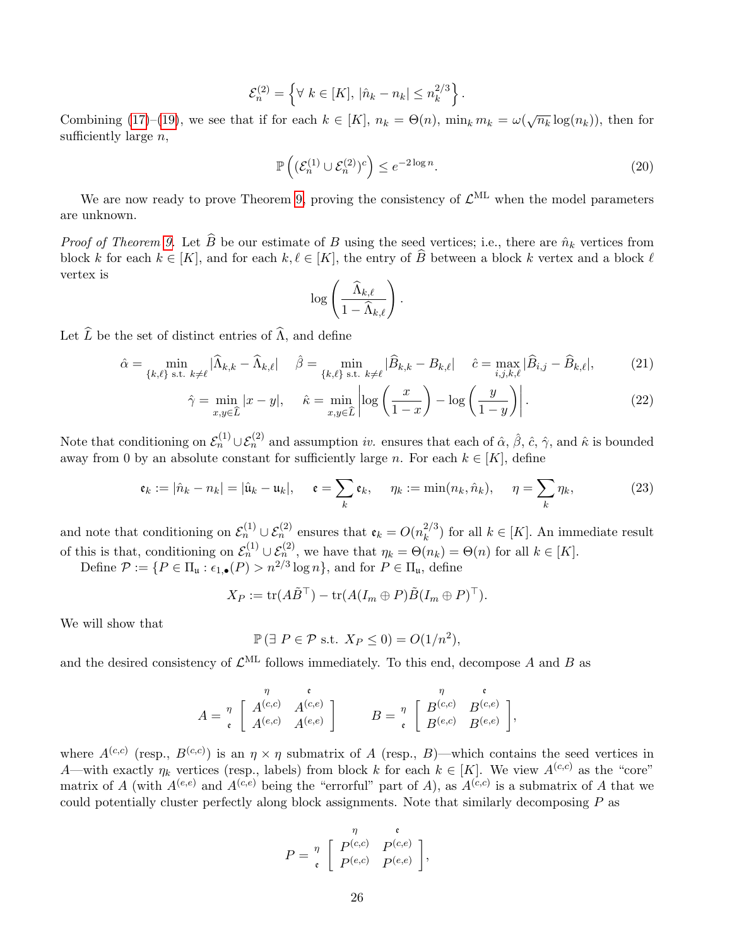$$
\mathcal{E}_n^{(2)} = \left\{ \forall \ k \in [K], |\hat{n}_k - n_k| \leq n_k^{2/3} \right\}.
$$

Combining [\(17\)](#page-24-0)–[\(19\)](#page-24-1), we see that if for each  $k \in [K]$ ,  $n_k = \Theta(n)$ ,  $\min_k m_k = \omega(\sqrt{n_k} \log(n_k))$ , then for sufficiently large  $n$ ,

$$
\mathbb{P}\left( (\mathcal{E}_n^{(1)} \cup \mathcal{E}_n^{(2)})^c \right) \le e^{-2\log n}.
$$
\n(20)

We are now ready to prove Theorem [9,](#page-9-2) proving the consistency of  $\mathcal{L}^{\text{ML}}$  when the model parameters are unknown.

*Proof of Theorem [9.](#page-9-2)* Let  $\widehat{B}$  be our estimate of B using the seed vertices; i.e., there are  $\hat{n}_k$  vertices from block k for each  $k \in [K]$ , and for each  $k, \ell \in [K]$ , the entry of  $\widehat{B}$  between a block k vertex and a block  $\ell$ vertex is

<span id="page-25-0"></span>
$$
\log\left(\frac{\widehat{\Lambda}_{k,\ell}}{1-\widehat{\Lambda}_{k,\ell}}\right).
$$

Let  $\widehat{L}$  be the set of distinct entries of  $\widehat{\Lambda}$ , and define

$$
\hat{\alpha} = \min_{\{k,\ell\} \text{ s.t. } k \neq \ell} |\hat{\Lambda}_{k,k} - \hat{\Lambda}_{k,\ell}| \quad \hat{\beta} = \min_{\{k,\ell\} \text{ s.t. } k \neq \ell} |\hat{B}_{k,k} - B_{k,\ell}| \quad \hat{c} = \max_{i,j,k,\ell} |\hat{B}_{i,j} - \hat{B}_{k,\ell}|,\tag{21}
$$

$$
\hat{\gamma} = \min_{x, y \in \hat{L}} |x - y|, \quad \hat{\kappa} = \min_{x, y \in \hat{L}} \left| \log \left( \frac{x}{1 - x} \right) - \log \left( \frac{y}{1 - y} \right) \right|.
$$
\n(22)

Note that conditioning on  $\mathcal{E}_n^{(1)}\cup\mathcal{E}_n^{(2)}$  and assumption *iv.* ensures that each of  $\hat{\alpha}$ ,  $\hat{\beta}$ ,  $\hat{c}$ ,  $\hat{\gamma}$ , and  $\hat{\kappa}$  is bounded away from 0 by an absolute constant for sufficiently large n. For each  $k \in [K]$ , define

$$
\mathfrak{e}_k := |\hat{n}_k - n_k| = |\hat{\mathfrak{u}}_k - \mathfrak{u}_k|, \quad \mathfrak{e} = \sum_k \mathfrak{e}_k, \quad \eta_k := \min(n_k, \hat{n}_k), \quad \eta = \sum_k \eta_k,\tag{23}
$$

and note that conditioning on  $\mathcal{E}_n^{(1)} \cup \mathcal{E}_n^{(2)}$  ensures that  $\mathfrak{e}_k = O(n_k^{2/3})$  $\binom{2}{k}$  for all  $k \in [K]$ . An immediate result of this is that, conditioning on  $\mathcal{E}_n^{(1)} \cup \mathcal{E}_n^{(2)}$ , we have that  $\eta_k = \Theta(n_k) = \Theta(n)$  for all  $k \in [K]$ .

Define  $P := \{ P \in \Pi_{\mathfrak{u}} : \epsilon_{1,\bullet}(P) > n^{2/3} \log n \}$ , and for  $P \in \Pi_{\mathfrak{u}}$ , define

$$
X_P := \text{tr}(A\tilde{B}^\top) - \text{tr}(A(I_m \oplus P)\tilde{B}(I_m \oplus P)^\top).
$$

We will show that

$$
\mathbb{P}(\exists P \in \mathcal{P} \text{ s.t. } X_P \le 0) = O(1/n^2),
$$

and the desired consistency of  $\mathcal{L}^{\text{ML}}$  follows immediately. To this end, decompose A and B as

$$
A = \begin{array}{cc} \eta & \mathfrak{e} \\ \eta \\ \mathfrak{e} \end{array} \left[ \begin{array}{cc} \eta & \mathfrak{e} \\ A^{(c,c)} & A^{(c,e)} \\ A^{(e,c)} & A^{(e,e)} \end{array} \right] \qquad \quad B = \begin{array}{cc} \eta & \mathfrak{e} \\ B^{(c,c)} & B^{(c,e)} \\ B^{(e,c)} & B^{(e,e)} \end{array} \right],
$$

where  $A^{(c,c)}$  (resp.,  $B^{(c,c)}$ ) is an  $\eta \times \eta$  submatrix of A (resp., B)—which contains the seed vertices in A—with exactly  $\eta_k$  vertices (resp., labels) from block k for each  $k \in [K]$ . We view  $A^{(c,c)}$  as the "core" matrix of A (with  $A^{(e,e)}$  and  $A^{(c,e)}$  being the "errorful" part of A), as  $A^{(c,c)}$  is a submatrix of A that we could potentially cluster perfectly along block assignments. Note that similarly decomposing  $P$  as

$$
P = \mathop{\eta}\limits_{\mathfrak{e}}^{\eta} \left[ \begin{array}{cc} p^{(c,c)} & p^{(c,e)} \\ p^{(e,c)} & p^{(e,e)} \end{array} \right],
$$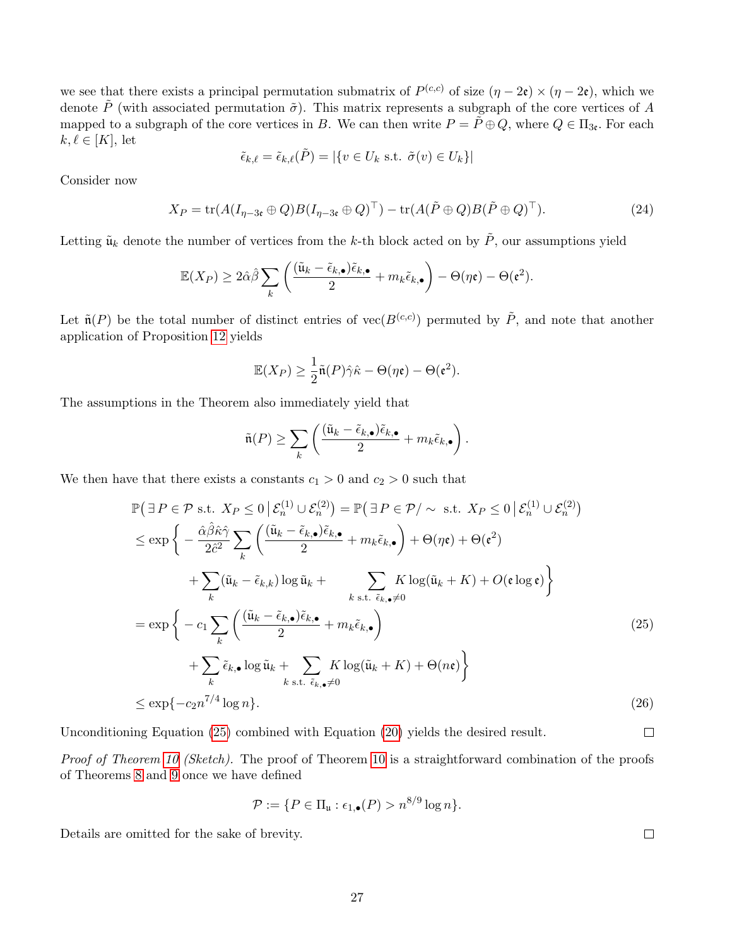we see that there exists a principal permutation submatrix of  $P^{(c,c)}$  of size  $(\eta - 2\epsilon) \times (\eta - 2\epsilon)$ , which we denote  $\tilde{P}$  (with associated permutation  $\tilde{\sigma}$ ). This matrix represents a subgraph of the core vertices of A mapped to a subgraph of the core vertices in B. We can then write  $P = \tilde{P} \oplus Q$ , where  $Q \in \Pi_{3c}$ . For each  $k, \ell \in [K]$ , let

$$
\tilde{\epsilon}_{k,\ell} = \tilde{\epsilon}_{k,\ell}(\tilde{P}) = |\{v \in U_k \text{ s.t. } \tilde{\sigma}(v) \in U_k\}|
$$

Consider now

$$
X_P = \text{tr}(A(I_{\eta-3\epsilon} \oplus Q)B(I_{\eta-3\epsilon} \oplus Q)^\top) - \text{tr}(A(\tilde{P} \oplus Q)B(\tilde{P} \oplus Q)^\top). \tag{24}
$$

Letting  $\tilde{\mathfrak{u}}_k$  denote the number of vertices from the k-th block acted on by  $\tilde{P}$ , our assumptions yield

$$
\mathbb{E}(X_P) \ge 2\hat{\alpha}\hat{\beta} \sum_k \left( \frac{(\tilde{\mathbf{u}}_k - \tilde{\epsilon}_{k,\bullet})\tilde{\epsilon}_{k,\bullet}}{2} + m_k \tilde{\epsilon}_{k,\bullet} \right) - \Theta(\eta \mathfrak{e}) - \Theta(\mathfrak{e}^2).
$$

Let  $\tilde{\mathfrak{n}}(P)$  be the total number of distinct entries of vec $(B^{(c,c)})$  permuted by  $\tilde{P}$ , and note that another application of Proposition [12](#page-21-1) yields

$$
\mathbb{E}(X_P) \geq \frac{1}{2}\tilde{\mathfrak{n}}(P)\hat{\gamma}\hat{\kappa} - \Theta(\eta\mathfrak{e}) - \Theta(\mathfrak{e}^2).
$$

The assumptions in the Theorem also immediately yield that

$$
\tilde{\mathfrak{n}}(P) \geq \sum_{k} \left( \frac{(\tilde{\mathfrak{u}}_k - \tilde{\epsilon}_{k,\bullet})\tilde{\epsilon}_{k,\bullet}}{2} + m_k \tilde{\epsilon}_{k,\bullet} \right).
$$

We then have that there exists a constants  $c_1 > 0$  and  $c_2 > 0$  such that

$$
\mathbb{P}\left(\exists P \in \mathcal{P} \text{ s.t. } X_P \le 0 \mid \mathcal{E}_n^{(1)} \cup \mathcal{E}_n^{(2)}\right) = \mathbb{P}\left(\exists P \in \mathcal{P}/\sim \text{ s.t. } X_P \le 0 \mid \mathcal{E}_n^{(1)} \cup \mathcal{E}_n^{(2)}\right)
$$
\n
$$
\le \exp\left\{-\frac{\hat{\alpha}\hat{\beta}\hat{\kappa}\hat{\gamma}}{2\hat{c}^2} \sum_k \left(\frac{(\tilde{u}_k - \tilde{\epsilon}_{k,\bullet})\tilde{\epsilon}_{k,\bullet}}{2} + m_k \tilde{\epsilon}_{k,\bullet}\right) + \Theta(\eta \mathfrak{e}) + \Theta(\mathfrak{e}^2) + \sum_k (\tilde{u}_k - \tilde{\epsilon}_{k,k}) \log \tilde{u}_k + \sum_{k \text{ s.t. } \tilde{\epsilon}_{k,\bullet} \ne 0} K \log(\tilde{u}_k + K) + O(\mathfrak{e} \log \mathfrak{e})\right\}
$$
\n
$$
= \exp\left\{-c_1 \sum_k \left(\frac{(\tilde{u}_k - \tilde{\epsilon}_{k,\bullet})\tilde{\epsilon}_{k,\bullet}}{2} + m_k \tilde{\epsilon}_{k,\bullet}\right) + \sum_k \tilde{\epsilon}_{k,\bullet} \log \tilde{u}_k + \sum_{k \text{ s.t. } \tilde{\epsilon}_{k,\bullet} \ne 0} K \log(\tilde{u}_k + K) + \Theta(n\mathfrak{e})\right\}
$$
\n
$$
\le \exp\{-c_2 n^{7/4} \log n\}.
$$
\n(26)

Unconditioning Equation [\(25\)](#page-26-0) combined with Equation [\(20\)](#page-25-0) yields the desired result.

Proof of Theorem [10](#page-10-1) (Sketch). The proof of Theorem 10 is a straightforward combination of the proofs of Theorems [8](#page-9-1) and [9](#page-9-2) once we have defined

$$
\mathcal{P} := \{ P \in \Pi_{\mathfrak{u}} : \epsilon_{1,\bullet}(P) > n^{8/9} \log n \}.
$$

Details are omitted for the sake of brevity.

 $\Box$ 

<span id="page-26-0"></span> $\Box$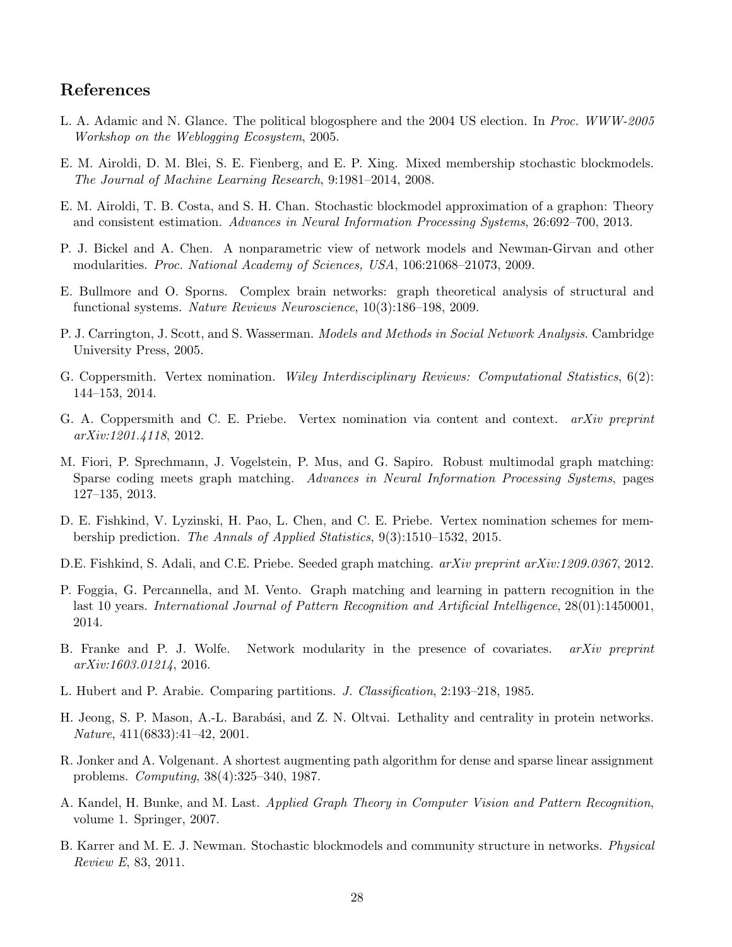## References

- <span id="page-27-17"></span>L. A. Adamic and N. Glance. The political blogosphere and the 2004 US election. In Proc. WWW-2005 Workshop on the Weblogging Ecosystem, 2005.
- <span id="page-27-9"></span>E. M. Airoldi, D. M. Blei, S. E. Fienberg, and E. P. Xing. Mixed membership stochastic blockmodels. The Journal of Machine Learning Research, 9:1981–2014, 2008.
- <span id="page-27-11"></span>E. M. Airoldi, T. B. Costa, and S. H. Chan. Stochastic blockmodel approximation of a graphon: Theory and consistent estimation. Advances in Neural Information Processing Systems, 26:692–700, 2013.
- <span id="page-27-5"></span>P. J. Bickel and A. Chen. A nonparametric view of network models and Newman-Girvan and other modularities. Proc. National Academy of Sciences, USA, 106:21068–21073, 2009.
- <span id="page-27-1"></span>E. Bullmore and O. Sporns. Complex brain networks: graph theoretical analysis of structural and functional systems. Nature Reviews Neuroscience, 10(3):186–198, 2009.
- <span id="page-27-4"></span>P. J. Carrington, J. Scott, and S. Wasserman. Models and Methods in Social Network Analysis. Cambridge University Press, 2005.
- <span id="page-27-7"></span>G. Coppersmith. Vertex nomination. Wiley Interdisciplinary Reviews: Computational Statistics, 6(2): 144–153, 2014.
- <span id="page-27-6"></span>G. A. Coppersmith and C. E. Priebe. Vertex nomination via content and context. arXiv preprint arXiv:1201.4118, 2012.
- <span id="page-27-13"></span>M. Fiori, P. Sprechmann, J. Vogelstein, P. Mus, and G. Sapiro. Robust multimodal graph matching: Sparse coding meets graph matching. Advances in Neural Information Processing Systems, pages 127–135, 2013.
- <span id="page-27-8"></span>D. E. Fishkind, V. Lyzinski, H. Pao, L. Chen, and C. E. Priebe. Vertex nomination schemes for membership prediction. The Annals of Applied Statistics, 9(3):1510–1532, 2015.
- <span id="page-27-12"></span>D.E. Fishkind, S. Adali, and C.E. Priebe. Seeded graph matching. arXiv preprint arXiv:1209.0367, 2012.
- <span id="page-27-2"></span>P. Foggia, G. Percannella, and M. Vento. Graph matching and learning in pattern recognition in the last 10 years. International Journal of Pattern Recognition and Artificial Intelligence, 28(01):1450001, 2014.
- <span id="page-27-15"></span>B. Franke and P. J. Wolfe. Network modularity in the presence of covariates. *arXiv preprint* arXiv:1603.01214, 2016.
- <span id="page-27-16"></span>L. Hubert and P. Arabie. Comparing partitions. J. Classification, 2:193–218, 1985.
- <span id="page-27-0"></span>H. Jeong, S. P. Mason, A.-L. Barabási, and Z. N. Oltvai. Lethality and centrality in protein networks. Nature, 411(6833):41–42, 2001.
- <span id="page-27-14"></span>R. Jonker and A. Volgenant. A shortest augmenting path algorithm for dense and sparse linear assignment problems. Computing, 38(4):325–340, 1987.
- <span id="page-27-3"></span>A. Kandel, H. Bunke, and M. Last. Applied Graph Theory in Computer Vision and Pattern Recognition, volume 1. Springer, 2007.
- <span id="page-27-10"></span>B. Karrer and M. E. J. Newman. Stochastic blockmodels and community structure in networks. Physical Review E, 83, 2011.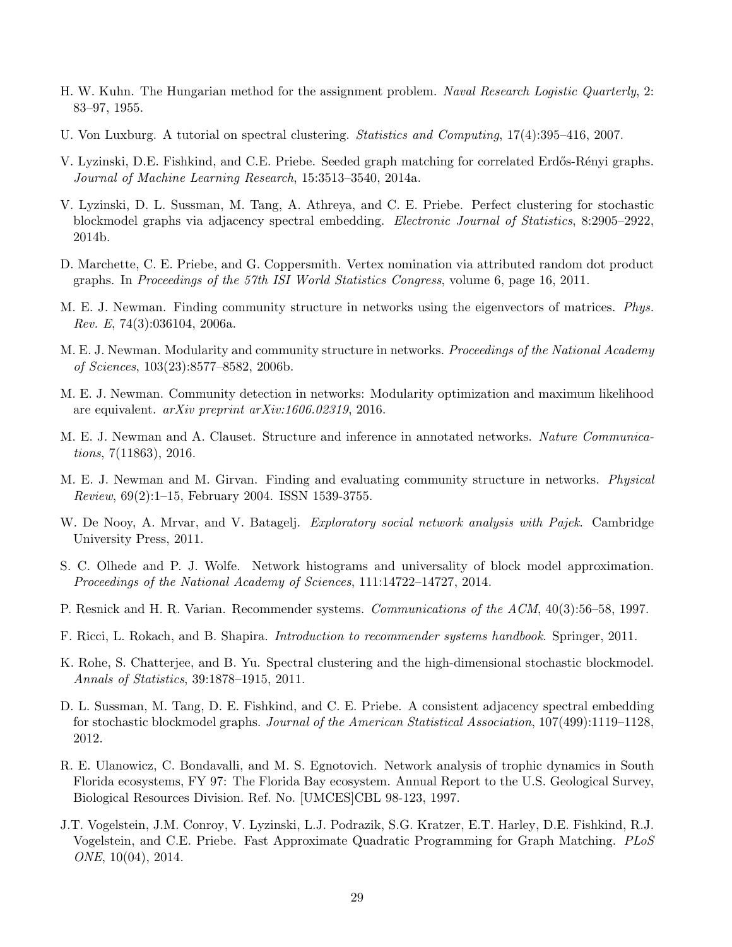- <span id="page-28-13"></span>H. W. Kuhn. The Hungarian method for the assignment problem. Naval Research Logistic Quarterly, 2: 83–97, 1955.
- <span id="page-28-2"></span>U. Von Luxburg. A tutorial on spectral clustering. Statistics and Computing, 17(4):395–416, 2007.
- <span id="page-28-11"></span>V. Lyzinski, D.E. Fishkind, and C.E. Priebe. Seeded graph matching for correlated Erd˝os-R´enyi graphs. Journal of Machine Learning Research, 15:3513–3540, 2014a.
- <span id="page-28-5"></span>V. Lyzinski, D. L. Sussman, M. Tang, A. Athreya, and C. E. Priebe. Perfect clustering for stochastic blockmodel graphs via adjacency spectral embedding. Electronic Journal of Statistics, 8:2905–2922, 2014b.
- <span id="page-28-6"></span>D. Marchette, C. E. Priebe, and G. Coppersmith. Vertex nomination via attributed random dot product graphs. In Proceedings of the 57th ISI World Statistics Congress, volume 6, page 16, 2011.
- <span id="page-28-15"></span>M. E. J. Newman. Finding community structure in networks using the eigenvectors of matrices. Phys. Rev. E, 74(3):036104, 2006a.
- <span id="page-28-1"></span>M. E. J. Newman. Modularity and community structure in networks. Proceedings of the National Academy of Sciences, 103(23):8577–8582, 2006b.
- <span id="page-28-10"></span>M. E. J. Newman. Community detection in networks: Modularity optimization and maximum likelihood are equivalent. arXiv preprint arXiv:1606.02319, 2016.
- <span id="page-28-14"></span>M. E. J. Newman and A. Clauset. Structure and inference in annotated networks. Nature Communications, 7(11863), 2016.
- <span id="page-28-0"></span>M. E. J. Newman and M. Girvan. Finding and evaluating community structure in networks. Physical Review, 69(2):1–15, February 2004. ISSN 1539-3755.
- <span id="page-28-17"></span>W. De Nooy, A. Mrvar, and V. Batagelj. *Exploratory social network analysis with Pajek.* Cambridge University Press, 2011.
- <span id="page-28-9"></span>S. C. Olhede and P. J. Wolfe. Network histograms and universality of block model approximation. Proceedings of the National Academy of Sciences, 111:14722–14727, 2014.
- <span id="page-28-7"></span>P. Resnick and H. R. Varian. Recommender systems. Communications of the ACM, 40(3):56–58, 1997.
- <span id="page-28-8"></span>F. Ricci, L. Rokach, and B. Shapira. Introduction to recommender systems handbook. Springer, 2011.
- <span id="page-28-3"></span>K. Rohe, S. Chatterjee, and B. Yu. Spectral clustering and the high-dimensional stochastic blockmodel. Annals of Statistics, 39:1878–1915, 2011.
- <span id="page-28-4"></span>D. L. Sussman, M. Tang, D. E. Fishkind, and C. E. Priebe. A consistent adjacency spectral embedding for stochastic blockmodel graphs. Journal of the American Statistical Association, 107(499):1119–1128, 2012.
- <span id="page-28-16"></span>R. E. Ulanowicz, C. Bondavalli, and M. S. Egnotovich. Network analysis of trophic dynamics in South Florida ecosystems, FY 97: The Florida Bay ecosystem. Annual Report to the U.S. Geological Survey, Biological Resources Division. Ref. No. [UMCES]CBL 98-123, 1997.
- <span id="page-28-12"></span>J.T. Vogelstein, J.M. Conroy, V. Lyzinski, L.J. Podrazik, S.G. Kratzer, E.T. Harley, D.E. Fishkind, R.J. Vogelstein, and C.E. Priebe. Fast Approximate Quadratic Programming for Graph Matching. PLoS ONE, 10(04), 2014.